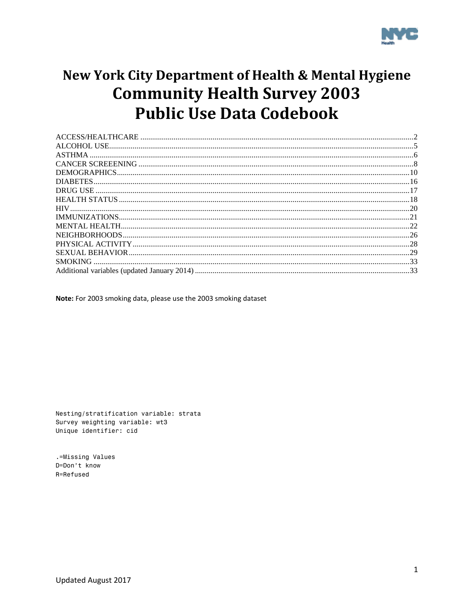

# New York City Department of Health & Mental Hygiene **Community Health Survey 2003 Public Use Data Codebook**

Note: For 2003 smoking data, please use the 2003 smoking dataset

Nesting/stratification variable: strata Survey weighting variable: wt3 Unique identifier: cid

.=Missing Values D=Don't know R=Refused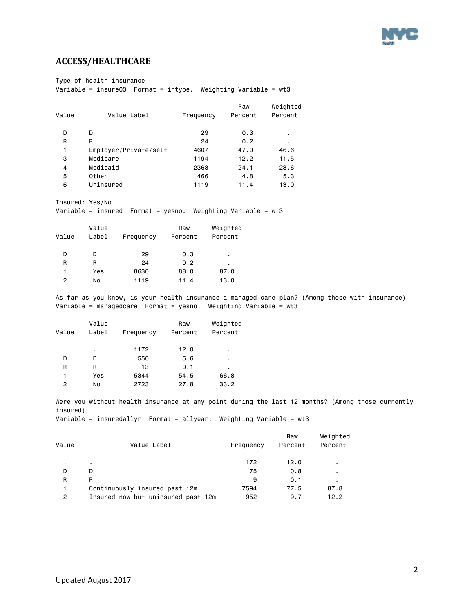

### <span id="page-1-0"></span>**ACCESS/HEALTHCARE**

Type of health insurance

 $\overline{\text{Variable}} = \text{insure03}$  Format = intype. Weighting Variable = wt3

|       |                       |           | Raw     | Weighted |
|-------|-----------------------|-----------|---------|----------|
| Value | Value Label           | Frequency | Percent | Percent  |
| D     | D                     | 29        | 0.3     | ٠.       |
| R     | R                     | 24        | 0.2     | ٠.       |
| 1     | Employer/Private/self | 4607      | 47.0    | 46.6     |
| 3     | Medicare              | 1194      | 12.2    | 11.5     |
| 4     | Medicaid              | 2363      | 24.1    | 23.6     |
| 5     | Other                 | 466       | 4.8     | 5.3      |
| 6     | Uninsured             | 1119      | 11.4    | 13.0     |
|       |                       |           |         |          |

Insured: Yes/No

Variable = insured Format = yesno. Weighting Variable = wt3

| Value | Value<br>Label | Frequency | Raw<br>Percent | Weighted<br>Percent |
|-------|----------------|-----------|----------------|---------------------|
| D     | D              | 29        | 0.3            | ٠                   |
| R     | R              | 24        | 0.2            | ٠                   |
| 1     | Yes            | 8630      | 88.0           | 87.0                |
| 2     | No             | 1119      | 11.4           | 13.0                |
|       |                |           |                |                     |

As far as you know, is your health insurance a managed care plan? (Among those with insurance) Variable = managedcare Format = yesno. Weighting Variable = wt3

| Value | Value<br>Label | Frequency | Raw<br>Percent | Weighted<br>Percent |
|-------|----------------|-----------|----------------|---------------------|
| ٠     | ٠              | 1172      | 12.0           | ٠                   |
| D     | D              | 550       | 5.6            | ٠                   |
| R     | R              | 13        | 0.1            | ٠                   |
| 1     | Yes            | 5344      | 54.5           | 66.8                |
| 2     | No             | 2723      | 27.8           | 33.2                |

Were you without health insurance at any point during the last 12 months? (Among those currently insured)

Variable = insuredallyr Format = allyear. Weighting Variable = wt3

|       |                                    |           | Raw     | Weighted |
|-------|------------------------------------|-----------|---------|----------|
| Value | Value Label                        | Frequency | Percent | Percent  |
|       | $\blacksquare$                     | 1172      | 12.0    |          |
| D     | D                                  | 75        | 0.8     |          |
| R     | R                                  | 9         | 0.1     |          |
|       | Continuously insured past 12m      | 7594      | 77.5    | 87.8     |
| 2     | Insured now but uninsured past 12m | 952       | 9.7     | 12.2     |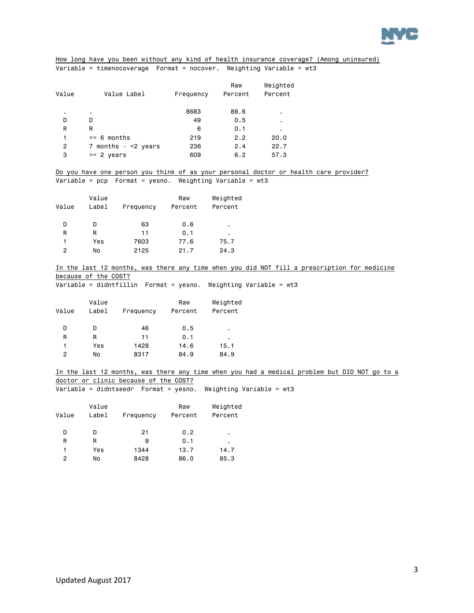

### How long have you been without any kind of health insurance coverage? (Among uninsured) Variable = timenocoverage Format = nocover. Weighting Variable = wt3

| Value | Value Label           | Frequency | Raw<br>Percent | Weighted<br>Percent |
|-------|-----------------------|-----------|----------------|---------------------|
| ٠     | ٠                     | 8683      | 88.6           | ٠                   |
| D     | D                     | 49        | 0.5            | ٠                   |
| R     | R                     | 6         | 0.1            | $\blacksquare$      |
| 1     | $\leq$ 6 months       | 219       | 2.2            | 20.0                |
| 2     | 7 months $ <$ 2 years | 236       | 2.4            | 22.7                |
| 3     | $>= 2$<br>vears       | 609       | 6.2            | 57.3                |
|       |                       |           |                |                     |

Do you have one person you think of as your personal doctor or health care provider? Variable = pcp Format = yesno. Weighting Variable = wt3

| Value | Value<br>Label | Frequency | Raw<br>Percent | Weighted<br>Percent |
|-------|----------------|-----------|----------------|---------------------|
| D     | D              | 63        | 0.6            | ٠                   |
| R     | R              | 11        | 0.1            | ٠                   |
| 1     | Yes            | 7603      | 77.6           | 75.7                |
| 2     | No             | 2125      | 21.7           | 24.3                |

In the last 12 months, was there any time when you did NOT fill a prescription for medicine because of the COST?

 $\overline{\text{Variable}} = \text{diamffillin}$  Format = yesno. Weighting Variable = wt3

Variable = didntseedr Format = yesno. Weighting Variable = wt3

| Value | Value<br>Label | Frequency | Raw<br>Percent | Weighted<br>Percent |
|-------|----------------|-----------|----------------|---------------------|
| D     | D              | 46        | 0.5            | ٠                   |
| R     | R              | 11        | 0.1            | ٠                   |
| 1     | Yes            | 1428      | 14.6           | 15.1                |
| 2     | No             | 8317      | 84.9           | 84.9                |

In the last 12 months, was there any time when you had a medical problem but DID NOT go to a doctor or clinic because of the COST?

| Value | Value<br>Label | Frequency | Raw<br>Percent | Weighted<br>Percent |
|-------|----------------|-----------|----------------|---------------------|
| D     | D              | 21        | 0.2            | ٠                   |
| R     | R              | 9         | 0.1            | ٠                   |
| 1     | Yes            | 1344      | 13.7           | 14.7                |
| 2     | No             | 8428      | 86.0           | 85.3                |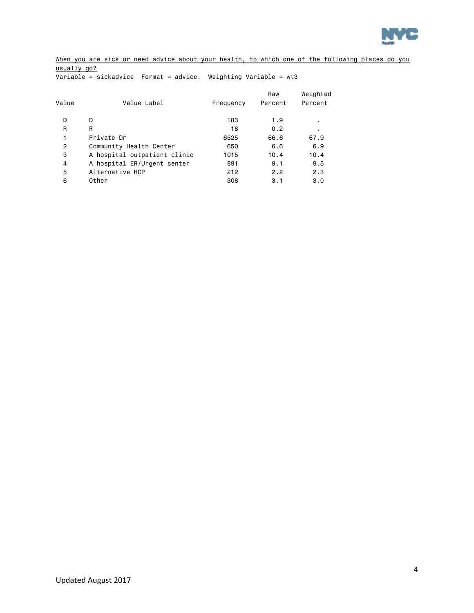

When you are sick or need advice about your health, to which one of the following places do you usually go?

Variable = sickadvice Format = advice. Weighting Variable = wt3

| Value          | Value Label                  | Frequency | Raw<br>Percent | Weighted<br>Percent |
|----------------|------------------------------|-----------|----------------|---------------------|
| D              | D                            | 183       | 1.9            | ٠                   |
| R              | R                            | 18        | 0.2            | ٠                   |
|                | Private Dr                   | 6525      | 66.6           | 67.9                |
| $\overline{2}$ | Community Health Center      | 650       | 6.6            | 6.9                 |
| 3              | A hospital outpatient clinic | 1015      | 10.4           | 10.4                |
| $\overline{4}$ | A hospital ER/Urgent center  | 891       | 9.1            | 9.5                 |
| 5              | Alternative HCP              | 212       | 2.2            | 2.3                 |
| 6              | Other                        | 308       | 3.1            | 3.0                 |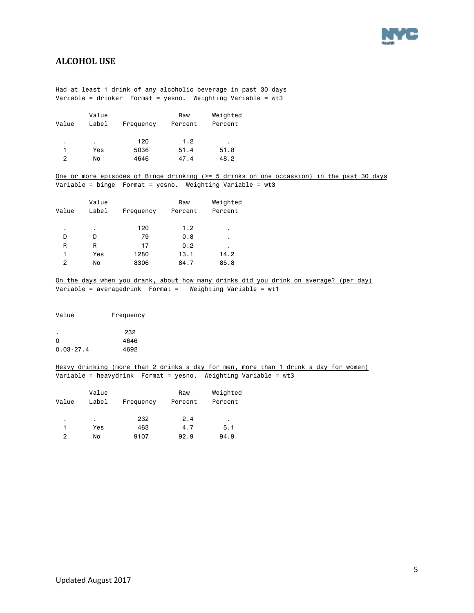

### <span id="page-4-0"></span>**ALCOHOL USE**

### Had at least 1 drink of any alcoholic beverage in past 30 days Variable = drinker Format = yesno. Weighting Variable = wt3

| Value | Value<br>Label | Frequency | Raw<br>Percent | Weighted<br>Percent |
|-------|----------------|-----------|----------------|---------------------|
| ٠     | ٠              | 120       | 1.2            | ٠                   |
|       | Yes            | 5036      | 51.4           | 51.8                |
| 2     | No             | 4646      | 47.4           | 48.2                |
|       |                |           |                |                     |

One or more episodes of Binge drinking (>= 5 drinks on one occassion) in the past 30 days Variable = binge Format = yesno. Weighting Variable = wt3

| Value | Value<br>Label | Frequency | Raw<br>Percent | Weighted<br>Percent |
|-------|----------------|-----------|----------------|---------------------|
| ٠     | ٠              | 120       | 1.2            | ٠                   |
| D     | D              | 79        | 0.8            | ٠                   |
| R     | R              | 17        | 0.2            | ٠                   |
| 1     | Yes            | 1280      | 13.1           | 14.2                |
| 2     | No             | 8306      | 84.7           | 85.8                |

On the days when you drank, about how many drinks did you drink on average? (per day) Variable = averagedrink Format = Weighting Variable = wt1

Value Frequency

|               | 232  |
|---------------|------|
| $\Omega$      | 4646 |
| $0.03 - 27.4$ | 4692 |

#### Heavy drinking (more than 2 drinks a day for men, more than 1 drink a day for women) Variable = heavydrink Format = yesno. Weighting Variable = wt3

| Value | Value<br>Label | Frequency | Raw<br>Percent | Weighted<br>Percent |
|-------|----------------|-----------|----------------|---------------------|
| ٠     | ٠              | 232       | 2.4            | ٠                   |
|       | Yes            | 463       | 4.7            | 5.1                 |
| 2     | No             | 9107      | 92.9           | 94.9                |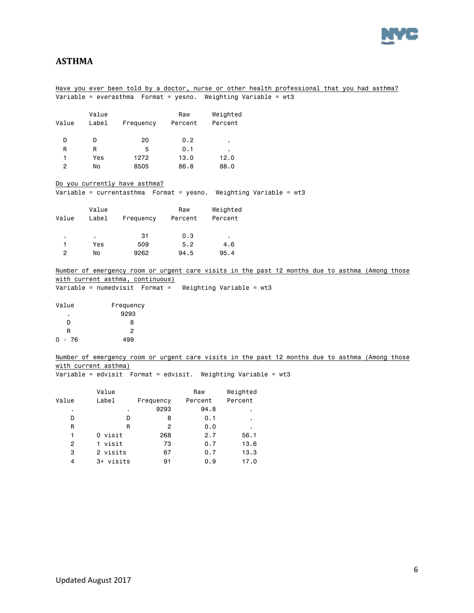

### <span id="page-5-0"></span>**ASTHMA**

### Have you ever been told by a doctor, nurse or other health professional that you had asthma? Variable = everasthma Format = yesno. Weighting Variable = wt3

| Value | Value<br>Label | Frequency | Raw<br>Percent | Weighted<br>Percent |
|-------|----------------|-----------|----------------|---------------------|
| D     | D              | 20        | 0.2            | ٠                   |
| R     | R              | 5         | 0.1            | ٠                   |
| 1     | Yes            | 1272      | 13.0           | 12.0                |
| 2     | No             | 8505      | 86.8           | 88.0                |

Do you currently have asthma?

Variable = currentasthma Format = yesno. Weighting Variable = wt3

| Value | Value<br>Label | Frequency | Raw<br>Percent | Weighted<br>Percent |
|-------|----------------|-----------|----------------|---------------------|
| ٠     | ٠              | 31        | 0.3            | ٠                   |
|       | Yes            | 509       | 5.2            | 4.6                 |
| 2     | No             | 9262      | 94.5           | 95.4                |

Number of emergency room or urgent care visits in the past 12 months due to asthma (Among those with current asthma, continuous)

Variable = numedvisit Format = Weighting Variable = wt3

| Frequency |
|-----------|
| 9293      |
| я         |
| 2         |
| 499       |
|           |

Number of emergency room or urgent care visits in the past 12 months due to asthma (Among those with current asthma)

Variable = edvisit Format = edvisit. Weighting Variable = wt3

|       | Value     |           | Raw     | Weighted |
|-------|-----------|-----------|---------|----------|
| Value | Label     | Frequency | Percent | Percent  |
| ٠     | ٠         | 9293      | 94.8    | ٠        |
| D     | D         | 8         | 0.1     | ٠        |
| R     | R         | 2         | 0.0     | ٠        |
| 1     | 0 visit   | 268       | 2.7     | 56.1     |
| 2     | 1 visit   | 73        | 0.7     | 13.6     |
| 3     | 2 visits  | 67        | 0.7     | 13.3     |
| 4     | 3+ visits | 91        | 0.9     | 17.0     |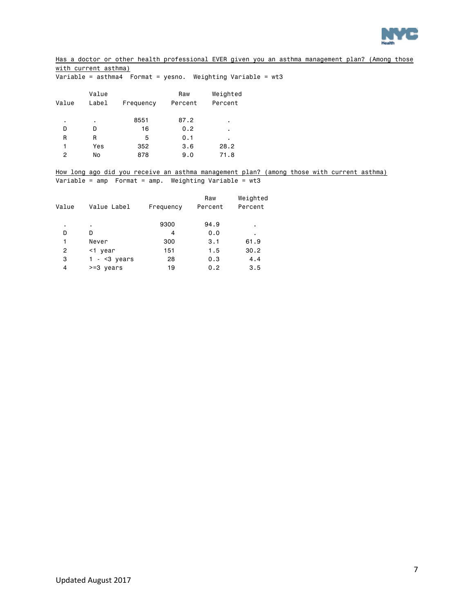

Has a doctor or other health professional EVER given you an asthma management plan? (Among those with current asthma)

Variable = asthma4 Format = yesno. Weighting Variable = wt3

|       | Value |           | Raw     | Weighted |
|-------|-------|-----------|---------|----------|
| Value | Label | Frequency | Percent | Percent  |
|       |       |           |         |          |
| ٠     | ٠     | 8551      | 87.2    | ٠.       |
| D     | D     | 16        | 0.2     | ٠.       |
| R     | R     | 5         | 0.1     | ٠        |
| 1     | Yes   | 352       | 3.6     | 28.2     |
| 2     | No    | 878       | 9.0     | 71.8     |
|       |       |           |         |          |

How long ago did you receive an asthma management plan? (among those with current asthma) Variable = amp Format = amp. Weighting Variable = wt3

| Value | Value Label   | Frequency | Raw<br>Percent | Weighted<br>Percent |
|-------|---------------|-----------|----------------|---------------------|
| ٠.    | ٠             | 9300      | 94.9           | ٠                   |
| D     | D             | 4         | 0.0            | ٠                   |
| 1     | Never         | 300       | 3.1            | 61.9                |
| 2     | $<$ 1 year    | 151       | 1.5            | 30.2                |
| 3     | $1 - 5$ vears | 28        | 0.3            | 4.4                 |
| 4     | $>=3$ years   | 19        | 0.2            | 3.5                 |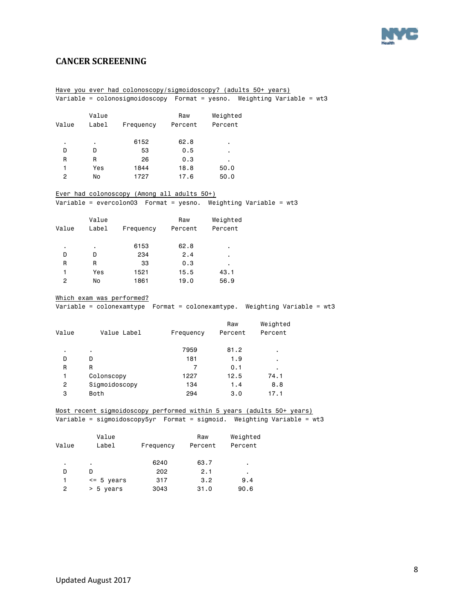

### <span id="page-7-0"></span>**CANCER SCREEENING**

|                       |                           | Have you ever had colonoscopy/sigmoidoscopy? (adults 50+ years)          |           |              |          |                                                                            |
|-----------------------|---------------------------|--------------------------------------------------------------------------|-----------|--------------|----------|----------------------------------------------------------------------------|
|                       |                           | Variable = colonosigmoidoscopy  Format = yesno. Weighting Variable = wt3 |           |              |          |                                                                            |
|                       |                           |                                                                          |           |              |          |                                                                            |
|                       | Value                     |                                                                          | Raw       | Weighted     |          |                                                                            |
| Value                 | Label                     | Frequency                                                                | Percent   | Percent      |          |                                                                            |
|                       |                           |                                                                          |           |              |          |                                                                            |
|                       | $\blacksquare$            | 6152                                                                     | 62.8      |              |          |                                                                            |
| D                     | D                         | 53                                                                       | 0.5       |              |          |                                                                            |
| R                     | R                         | 26                                                                       | 0.3       |              |          |                                                                            |
| $\mathbf{1}$          | Yes                       | 1844                                                                     | 18.8      | 50.0         |          |                                                                            |
| 2                     | No                        | 1727                                                                     | 17.6      | 50.0         |          |                                                                            |
|                       |                           | Ever had colonoscopy (Among all adults 50+)                              |           |              |          |                                                                            |
|                       |                           | Variable = evercolon03  Format = yesno. Weighting Variable = wt3         |           |              |          |                                                                            |
|                       | Value                     |                                                                          | Raw       | Weighted     |          |                                                                            |
| Value                 | Label                     | Frequency                                                                | Percent   | Percent      |          |                                                                            |
| $\blacksquare$        | $\blacksquare$            | 6153                                                                     | 62.8      | ٠            |          |                                                                            |
| D                     | D                         | 234                                                                      | 2.4       | ٠            |          |                                                                            |
| R                     | R                         | 33                                                                       | 0.3       |              |          |                                                                            |
| $\mathbf{1}$          | Yes                       | 1521                                                                     | 15.5      | 43.1         |          |                                                                            |
| $\mathbf{2}^{\prime}$ | No                        | 1861                                                                     | 19.0      | 56.9         |          |                                                                            |
|                       |                           |                                                                          |           |              |          |                                                                            |
|                       | Which exam was performed? |                                                                          |           |              |          |                                                                            |
|                       |                           |                                                                          |           |              |          | Variable = colonexamtype  Format = colonexamtype. Weighting Variable = wt3 |
|                       |                           |                                                                          |           |              |          |                                                                            |
|                       |                           |                                                                          |           | Raw          | Weighted |                                                                            |
| Value                 |                           | Value Label                                                              | Frequency | Percent      | Percent  |                                                                            |
|                       | ä,                        |                                                                          | 7959      | 81.2         |          |                                                                            |
| D                     | D                         |                                                                          | 181       | 1.9          |          |                                                                            |
| R                     | R                         |                                                                          | 7         | 0.1          |          |                                                                            |
| 1.                    | Colonscopy                |                                                                          | 1227      | 12.5         | 74.1     |                                                                            |
| $\overline{2}$        | Sigmoidoscopy             |                                                                          | 134       | 1.4          | 8.8      |                                                                            |
| 3                     | Both                      |                                                                          | 294       | 3.0          | 17.1     |                                                                            |
|                       |                           | Most recent sigmoidoscopy performed within 5 years (adults 50+ years)    |           |              |          |                                                                            |
|                       |                           | Variable = sigmoidoscopy5yr Format = sigmoid. Weighting Variable = wt3   |           |              |          |                                                                            |
|                       | Value                     |                                                                          | Raw       | Weighted     |          |                                                                            |
| Value                 | Label                     | Frequency                                                                | Percent   | Percent      |          |                                                                            |
|                       |                           |                                                                          |           |              |          |                                                                            |
| ٠                     | $\blacksquare$            | 6240                                                                     |           | 63.7         |          |                                                                            |
| D                     | D                         | 202                                                                      |           | 2.1          |          |                                                                            |
| 1                     | <= 5 years                | 317                                                                      |           | 3.2<br>9.4   |          |                                                                            |
| $\overline{c}$        | $> 5$ years               | 3043                                                                     |           | 31.0<br>90.6 |          |                                                                            |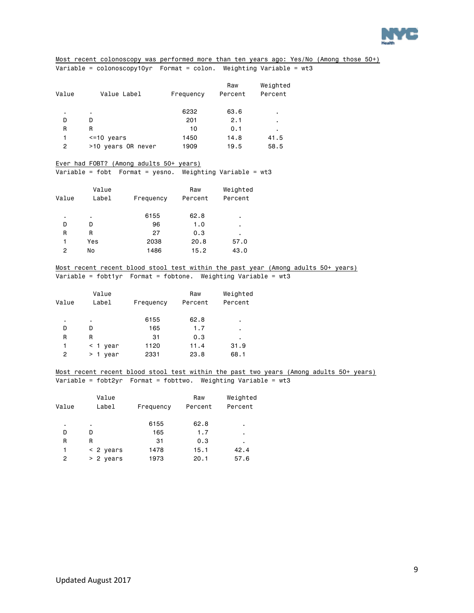

Most recent colonoscopy was performed more than ten years ago: Yes/No (Among those 50+) Variable = colonoscopy10yr Format = colon. Weighting Variable = wt3

| Value | Value Label        | Frequency | Raw<br>Percent | Weighted<br>Percent |
|-------|--------------------|-----------|----------------|---------------------|
| ٠     | ٠                  | 6232      | 63.6           | ٠                   |
| D     | D                  | 201       | 2.1            | $\blacksquare$      |
| R     | R                  | 10        | 0.1            | ٠                   |
| 1     | $\le$ =10 years    | 1450      | 14.8           | 41.5                |
| 2     | >10 years OR never | 1909      | 19.5           | 58.5                |

#### Ever had FOBT? (Among adults 50+ years)

Variable = fobt Format = yesno. Weighting Variable = wt3

|       | Value |           | Raw     | Weighted |
|-------|-------|-----------|---------|----------|
| Value | Label | Frequency | Percent | Percent  |
|       |       |           |         |          |
| ٠     | ٠     | 6155      | 62.8    | ٠        |
| D     | D     | 96        | 1.0     | ٠        |
| R     | R     | 27        | 0.3     | ٠        |
| 1     | Yes   | 2038      | 20.8    | 57.0     |
| 2     | No    | 1486      | 15.2    | 43.0     |
|       |       |           |         |          |

### Most recent recent blood stool test within the past year (Among adults 50+ years) Variable = fobt1yr Format = fobtone. Weighting Variable = wt3

| Value | Value<br>Label   | Frequency | Raw<br>Percent | Weighted<br>Percent |
|-------|------------------|-----------|----------------|---------------------|
|       |                  |           |                |                     |
| ٠     | ٠                | 6155      | 62.8           | ٠                   |
| D     | D                | 165       | 1.7            | ٠                   |
| R     | R                | 31        | 0.3            | ٠                   |
| 1     | year<br>$\leq$ 1 | 1120      | 11.4           | 31.9                |
| 2     | >1<br>vear       | 2331      | 23.8           | 68.1                |

Most recent recent blood stool test within the past two years (Among adults 50+ years) Variable = fobt2yr Format = fobttwo. Weighting Variable = wt3

|       | Value       |           | Raw     | Weighted |
|-------|-------------|-----------|---------|----------|
| Value | Label       | Frequency | Percent | Percent  |
| ٠     | ٠           | 6155      | 62.8    | ٠        |
| D     | D           | 165       | 1.7     | ٠        |
| R     | R           | 31        | 0.3     |          |
| 1     | $< 2$ years | 1478      | 15.1    | 42.4     |
| 2     | $> 2$ years | 1973      | 20.1    | 57.6     |
|       |             |           |         |          |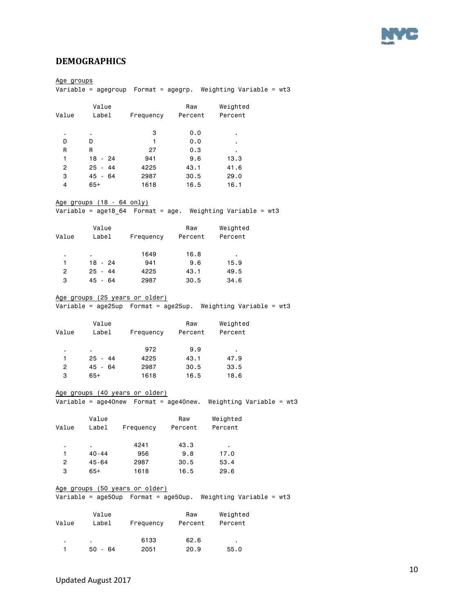

### <span id="page-9-0"></span>**DEMOGRAPHICS**

Age groups Variable = agegroup Format = agegrp. Weighting Variable = wt3 Value **Raw** Weighted Value Label Frequency Percent Percent . . 3 0.0 . D D 1 0.0 . R R 27 0.3 . 1 18 - 24 941 9.6 13.3 2 25 - 44 4225 43.1 41.6 3 45 - 64 2987 30.5 29.0 4 65+ 1618 16.5 16.1 Age groups (18 - 64 only) Variable = age18\_64 Format = age. Weighting Variable = wt3 Value Raw Weighted Value Label Frequency Percent Percent . . 1649 16.8 . 1 18 - 24 941 9.6 15.9 2 25 - 44 4225 43.1 49.5 3 45 - 64 2987 30.5 34.6 Age groups (25 years or older) Variable = age25up Format = age25up. Weighting Variable = wt3 Value Raw Weighted Value Label Frequency Percent Percent . . 972 9.9 . 1 25 - 44 4225 43.1 47.9<br>2 45 - 64 2987 30.5 33.5 2 45 - 64 2987 30.5 33.5 3 65+ 1618 16.5 18.6 Age groups (40 years or older) Variable = age40new Format = age40new. Weighting Variable = wt3 Value Raw Weighted Value Label Frequency Percent Percent . . 4241 43.3 . 1 40-44 956 9.8 17.0 2 45-64 2987 30.5 53.4 3 65+ 1618 16.5 29.6 Age groups (50 years or older) Variable = age50up Format = age50up. Weighting Variable = wt3 Value Raw Weighted Value Label Frequency Percent Percent . . 6133 62.6 . 1 50 - 64 2051 20.9 55.0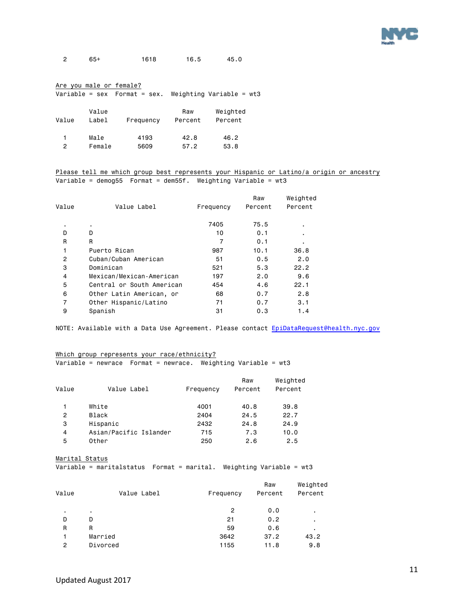

2 65+ 1618 16.5 45.0

#### Are you male or female?

Variable = sex Format = sex. Weighting Variable = wt3

| Value | Value<br>Label | Frequency | Raw<br>Percent | Weighted<br>Percent |
|-------|----------------|-----------|----------------|---------------------|
| 2     | Male           | 4193      | 42.8           | 46.2                |
|       | Female         | 5609      | 57.2           | 53.8                |

Please tell me which group best represents your Hispanic or Latino/a origin or ancestry Variable = demog55 Format = dem55f. Weighting Variable = wt3

| Value          | Value Label               | Frequency | Raw<br>Percent | Weighted<br>Percent |
|----------------|---------------------------|-----------|----------------|---------------------|
| ٠              |                           | 7405      | 75.5           |                     |
| D              | D                         | 10        | 0.1            |                     |
| R              | R                         |           | 0.1            |                     |
| 1              | Puerto Rican              | 987       | 10.1           | 36.8                |
| $\overline{2}$ | Cuban/Cuban American      | 51        | 0.5            | 2.0                 |
| 3              | Dominican                 | 521       | 5.3            | 22.2                |
| 4              | Mexican/Mexican-American  | 197       | 2.0            | 9.6                 |
| 5              | Central or South American | 454       | 4.6            | 22.1                |
| 6              | Other Latin American, or  | 68        | 0.7            | 2.8                 |
| $\overline{7}$ | Other Hispanic/Latino     | 71        | 0.7            | 3.1                 |
| 9              | Spanish                   | 31        | 0.3            | 1.4                 |
|                |                           |           |                |                     |

NOTE: Available with a Data Use Agreement. Please contact EpiDataRequest@health.nyc.gov

#### Which group represents your race/ethnicity?

Variable = newrace Format = newrace. Weighting Variable = wt3

| Value | Value Label            | Frequency | Raw<br>Percent | Weighted<br>Percent |
|-------|------------------------|-----------|----------------|---------------------|
|       | White                  | 4001      | 40.8           | 39.8                |
| 2     | Black                  | 2404      | 24.5           | 22.7                |
| 3     | Hispanic               | 2432      | 24.8           | 24.9                |
| 4     | Asian/Pacific Islander | 715       | 7.3            | 10.0                |
| 5     | Other                  | 250       | 2.6            | 2.5                 |

Marital Status

Variable = maritalstatus Format = marital. Weighting Variable = wt3

|             |           | Raw     | Weighted |
|-------------|-----------|---------|----------|
| Value Label | Frequency | Percent | Percent  |
|             |           |         |          |
|             |           |         | ٠.       |
| D           | 21        | 0.2     | ٠        |
| R           | 59        | 0.6     |          |
| Married     | 3642      | 37.2    | 43.2     |
| Divorced    | 1155      | 11.8    | 9.8      |
|             |           | 2       | 0.0      |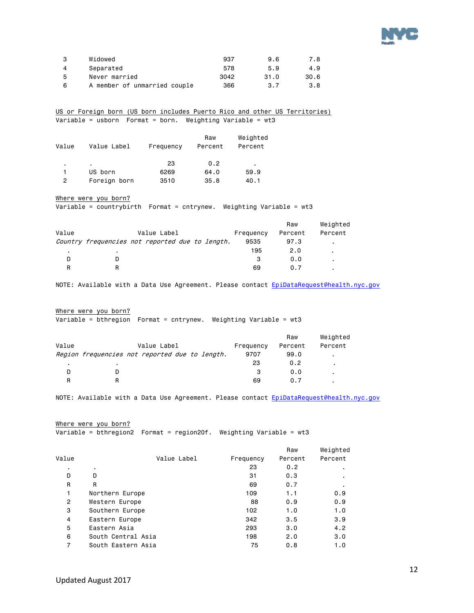

|   | Widowed                      | 937  | 9.6  | 7.8  |
|---|------------------------------|------|------|------|
|   | Separated                    | 578  | 5.9  | 4.9  |
| 5 | Never married                | 3042 | 31.0 | 30.6 |
| 6 | A member of unmarried couple | 366  | 3.7  | 3.8  |

US or Foreign born (US born includes Puerto Rico and other US Territories) Variable = usborn Format = born. Weighting Variable = wt3

| Value | Value Label  | Frequency | Raw<br>Percent | Weighted<br>Percent |  |
|-------|--------------|-----------|----------------|---------------------|--|
| ٠     | ٠.           | 23        | 0.2            | ٠                   |  |
|       | US born      | 6269      | 64.0           | 59.9                |  |
| 2     | Foreign born | 3510      | 35.8           | 40.1                |  |

Where were you born?

Variable = countrybirth Format = cntrynew. Weighting Variable = wt3

|       |   |                                                 |  |           | Raw     | Weighted |
|-------|---|-------------------------------------------------|--|-----------|---------|----------|
| Value |   | Value Label                                     |  | Frequency | Percent | Percent  |
|       |   | Country frequencies not reported due to length. |  | 9535      | 97.3    |          |
| ٠.    |   |                                                 |  | 195       | 2.0     |          |
| D     |   |                                                 |  | 3         | 0.0     |          |
| R     | R |                                                 |  | 69        | 0.7     | ٠.       |

NOTE: Available with a Data Use Agreement. Please contact EpiDataRequest@health.nyc.gov

#### Where were you born?

Variable = bthregion Format = cntrynew. Weighting Variable = wt3

|       |                |                                                |           | Raw     | Weighted       |
|-------|----------------|------------------------------------------------|-----------|---------|----------------|
| Value |                | Value Label                                    | Frequency | Percent | Percent        |
|       |                | Region frequencies not reported due to length. | 9707      | 99.0    | $\blacksquare$ |
|       | $\blacksquare$ |                                                | 23        | 0.2     |                |
| D     |                |                                                | 3         | 0.0     |                |
| R     |                |                                                | 69        | 0.7     | ٠              |

NOTE: Available with a Data Use Agreement. Please contact EpiDataRequest@health.nyc.gov

```
Where were you born?
```
Variable = bthregion2 Format = region20f. Weighting Variable = wt3

|       |                    |           | Raw     | Weighted |
|-------|--------------------|-----------|---------|----------|
| Value | Value Label        | Frequency | Percent | Percent  |
| ٠     | ٠                  | 23        | 0.2     |          |
| D     | D                  | 31        | 0.3     |          |
| R     | R                  | 69        | 0.7     |          |
| 1     | Northern Europe    | 109       | 1.1     | 0.9      |
| 2     | Western Europe     | 88        | 0.9     | 0.9      |
| 3     | Southern Europe    | 102       | 1.0     | 1.0      |
| 4     | Eastern Europe     | 342       | 3.5     | 3.9      |
| 5     | Eastern Asia       | 293       | 3.0     | 4.2      |
| 6     | South Central Asia | 198       | 2.0     | 3.0      |
| 7     | South Eastern Asia | 75        | 0.8     | 1.0      |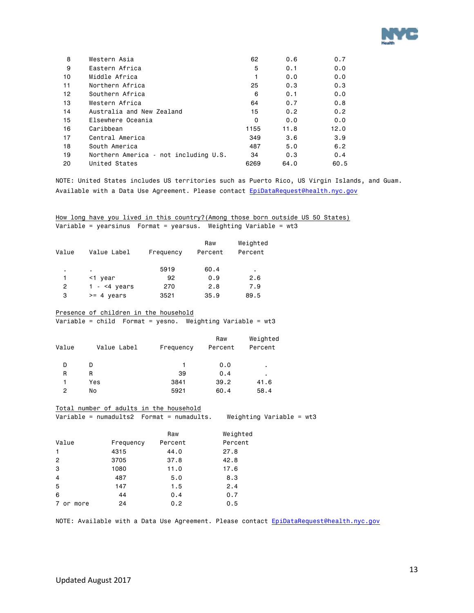

| 8  | Western Asia                          | 62   | 0.6  | 0.7  |
|----|---------------------------------------|------|------|------|
| 9  | Eastern Africa                        | 5    | 0.1  | 0.0  |
| 10 | Middle Africa                         |      | 0.0  | 0.0  |
| 11 | Northern Africa                       | 25   | 0.3  | 0.3  |
| 12 | Southern Africa                       | 6    | 0.1  | 0.0  |
| 13 | Western Africa                        | 64   | 0.7  | 0.8  |
| 14 | Australia and New Zealand             | 15   | 0.2  | 0.2  |
| 15 | Elsewhere Oceania                     | 0    | 0.0  | 0.0  |
| 16 | Caribbean                             | 1155 | 11.8 | 12.0 |
| 17 | Central America                       | 349  | 3.6  | 3.9  |
| 18 | South America                         | 487  | 5.0  | 6.2  |
| 19 | Northern America - not including U.S. | 34   | 0.3  | 0.4  |
| 20 | United States                         | 6269 | 64.0 | 60.5 |

NOTE: United States includes US territories such as Puerto Rico, US Virgin Islands, and Guam. Available with a Data Use Agreement. Please contact [EpiDataRequest@health.nyc.gov](mailto:EpiDataRequest@health.nyc.gov)

How long have you lived in this country? (Among those born outside US 50 States) Variable = yearsinus Format = yearsus. Weighting Variable = wt3

| Value | Value Label          | Frequency | Raw<br>Percent | Weighted<br>Percent |
|-------|----------------------|-----------|----------------|---------------------|
| ٠     | ٠                    | 5919      | 60.4           | ٠                   |
|       | <1 year              | 92        | 0.9            | 2.6                 |
| 2     | 1 - $\leq 4$ years   | 270       | 2.8            | 7.9                 |
| 3     | $>= 4 \text{ years}$ | 3521      | 35.9           | 89.5                |

Presence of children in the household

Variable = child Format = yesno. Weighting Variable = wt3

| Value | Value Label | Frequency | Raw<br>Percent | Weighted<br>Percent |
|-------|-------------|-----------|----------------|---------------------|
| D     | D           |           | 0.0            | ٠                   |
| R     | R           | 39        | 0.4            | ٠                   |
|       | Yes         | 3841      | 39.2           | 41.6                |
| 2     | No          | 5921      | 60.4           | 58.4                |

Total number of adults in the household

Variable = numadults2 Format = numadults. Weighting Variable = wt3

|                |           | Raw     | Weighted |
|----------------|-----------|---------|----------|
| Value          | Frequency | Percent | Percent  |
| 1              | 4315      | 44.0    | 27.8     |
| $\mathbf{2}$   | 3705      | 37.8    | 42.8     |
| 3              | 1080      | 11.0    | 17.6     |
| $\overline{4}$ | 487       | 5.0     | 8.3      |
| 5              | 147       | 1.5     | 2.4      |
| 6              | 44        | 0.4     | 0.7      |
| 7 or more      | 24        | 0.2     | 0.5      |

NOTE: Available with a Data Use Agreement. Please contact [EpiDataRequest@health.nyc.gov](mailto:EpiDataRequest@health.nyc.gov)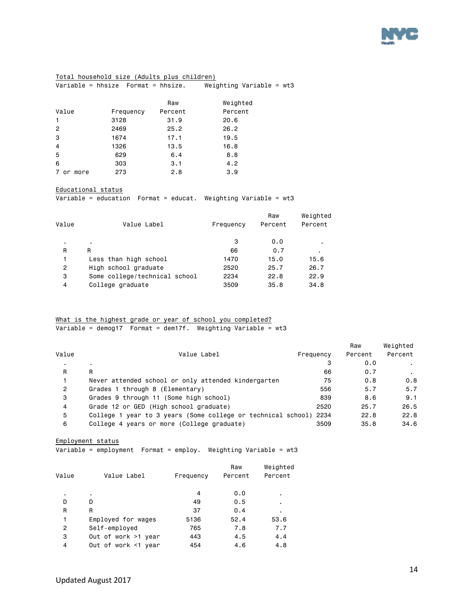

### Total household size (Adults plus children)

Variable = hhsize Format = hhsize. Weighting Variable = wt3

|                 |           | Raw     | Weighted |
|-----------------|-----------|---------|----------|
| Value           | Frequency | Percent | Percent  |
| $\mathbf{1}$    | 3128      | 31.9    | 20.6     |
| $\overline{2}$  | 2469      | 25.2    | 26.2     |
| 3               | 1674      | 17.1    | 19.5     |
| $\overline{4}$  | 1326      | 13.5    | 16.8     |
| 5               | 629       | 6.4     | 8.8      |
| 6               | 303       | 3.1     | 4.2      |
| 7<br>more<br>or | 273       | 2.8     | 3.9      |

#### Educational status

Variable = education Format = educat. Weighting Variable = wt3

|       |                               |           | Raw     | Weighted |
|-------|-------------------------------|-----------|---------|----------|
| Value | Value Label                   | Frequency | Percent | Percent  |
| ٠     | $\blacksquare$                | 3         | 0.0     |          |
| R     | R                             | 66        | 0.7     | ٠        |
|       | Less than high school         | 1470      | 15.0    | 15.6     |
| 2     | High school graduate          | 2520      | 25.7    | 26.7     |
| 3     | Some college/technical school | 2234      | 22.8    | 22.9     |
| 4     | College graduate              | 3509      | 35.8    | 34.8     |

### What is the highest grade or year of school you completed? Variable = demog17 Format = dem17f. Weighting Variable =  $wt3$

|                |                                                                   |           | Raw     | Weighted |
|----------------|-------------------------------------------------------------------|-----------|---------|----------|
| Value          | Value Label                                                       | Frequency | Percent | Percent  |
|                | $\blacksquare$                                                    | з         | 0.0     |          |
| R              | R                                                                 | 66        | 0.7     |          |
|                | Never attended school or only attended kindergarten               | 75        | 0.8     | 0.8      |
| $\overline{2}$ | Grades 1 through 8 (Elementary)                                   | 556       | 5.7     | 5.7      |
| 3              | Grades 9 through 11 (Some high school)                            | 839       | 8.6     | 9.1      |
| 4              | Grade 12 or GED (High school graduate)                            | 2520      | 25.7    | 26.5     |
| 5              | College 1 year to 3 years (Some college or technical school) 2234 |           | 22.8    | 22.8     |
| 6              | College 4 years or more (College graduate)                        | 3509      | 35.8    | 34.6     |
|                |                                                                   |           |         |          |

#### Employment status

Variable = employment Format = employ. Weighting Variable = wt3

|                     |             | Raw       | Weighted       |
|---------------------|-------------|-----------|----------------|
|                     |             |           | Percent        |
| ٠                   | 4           | 0.0       | ٠              |
| D                   | 49          | 0.5       | $\blacksquare$ |
| R                   | 37          | 0.4       | ٠              |
| Employed for wages  | 5136        | 52.4      | 53.6           |
| Self-employed       | 765         | 7.8       | 7.7            |
| Out of work >1 year | 443         | 4.5       | 4.4            |
| Out of work <1 year | 454         | 4.6       | 4.8            |
|                     | Value Label | Frequency | Percent        |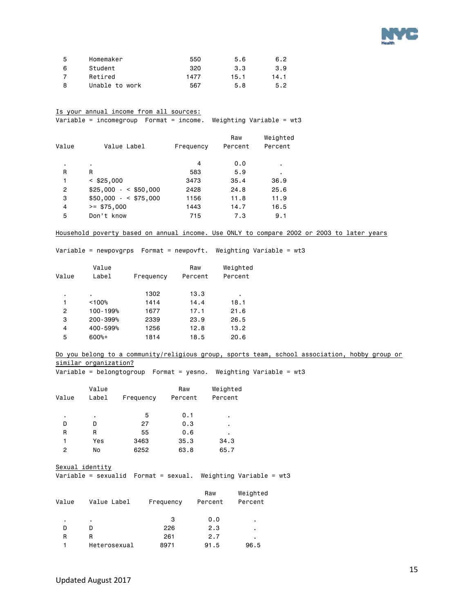

| 5 | Homemaker      | 550  | 5.6  | 6.2  |
|---|----------------|------|------|------|
| 6 | Student        | 320  | 3.3  | 3.9  |
|   | Retired        | 1477 | 15.1 | 14.1 |
| 8 | Unable to work | 567  | 5.8  | 5.2  |

### Is your annual income from all sources:

Variable = incomegroup Format = income. Weighting Variable = wt3

| Value          | Value Label         | Frequency | Raw<br>Percent | Weighted<br>Percent |
|----------------|---------------------|-----------|----------------|---------------------|
|                |                     |           |                |                     |
| ٠              | ٠.                  | 4         | 0.0            |                     |
| R              | R                   | 583       | 5.9            | ٠                   |
| 1              | $<$ \$25,000        | 3473      | 35.4           | 36.9                |
| $\overline{2}$ | $$25,000 - $50,000$ | 2428      | 24.8           | 25.6                |
| 3              | $$50,000 - $75,000$ | 1156      | 11.8           | 11.9                |
| 4              | $>=$ \$75,000       | 1443      | 14.7           | 16.5                |
| 5              | Don't know          | 715       | 7.3            | 9.1                 |

#### Household poverty based on annual income. Use ONLY to compare 2002 or 2003 to later years

Variable = newpovgrps Format = newpovft. Weighting Variable = wt3

|       | Value    |           | Raw     | Weighted |
|-------|----------|-----------|---------|----------|
| Value | Label    | Frequency | Percent | Percent  |
| ٠     | ٠        | 1302      | 13.3    | ٠        |
| 1     | < 100%   | 1414      | 14.4    | 18.1     |
| 2     | 100-199% | 1677      | 17.1    | 21.6     |
| 3     | 200-399% | 2339      | 23.9    | 26.5     |
| 4     | 400-599% | 1256      | 12.8    | 13.2     |
| 5     | $600%+$  | 1814      | 18.5    | 20.6     |
|       |          |           |         |          |

#### Do you belong to a community/religious group, sports team, school association, hobby group or similar organization?

Variable = belongtogroup Format = yesno. Weighting Variable = wt3

| Value | Value<br>Label | Frequency | Raw<br>Percent | Weighted<br>Percent |
|-------|----------------|-----------|----------------|---------------------|
| ٠     | ٠              | 5         | 0.1            | ٠                   |
| D     | D              | 27        | 0.3            | ٠                   |
| R     | R              | 55        | 0.6            | ٠                   |
| 1     | Yes            | 3463      | 35.3           | 34.3                |
| 2     | No             | 6252      | 63.8           | 65.7                |

Sexual identity

Variable = sexualid Format = sexual. Weighting Variable = wt3

| Value | Value Label  | Frequency | Raw<br>Percent | Weighted<br>Percent |
|-------|--------------|-----------|----------------|---------------------|
| ٠     | ٠            | 3         | 0.0            | ٠                   |
| D     | D            | 226       | 2.3            | ٠                   |
| R     | R            | 261       | 2.7            | ٠                   |
|       | Heterosexual | 8971      | 91.5           | 96.5                |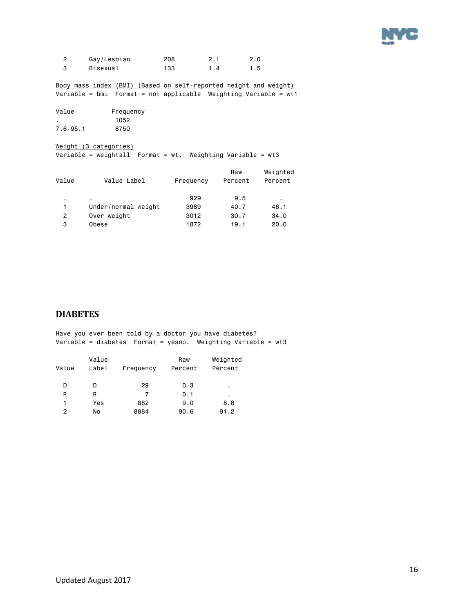

| Gay/Lesbian | 208  | 2.1 |     |
|-------------|------|-----|-----|
| Bisexual    | 133. | 4   | 1.5 |

Body mass index (BMI) (Based on self-reported height and weight)  $\overline{\text{Variable}} = \text{bmi}$  Format = not applicable Weighting Variable = wt1

| Value        | Frequency |
|--------------|-----------|
|              | 1052      |
| $7.6 - 95.1$ | 8750      |

Weight (3 categories) Variable = weightall Format = wt. Weighting Variable = wt3

| Value | Value Label         | Frequency | Raw<br>Percent | Weighted<br>Percent |
|-------|---------------------|-----------|----------------|---------------------|
|       |                     | 929       | 9.5            | ٠                   |
| 1     | Under/normal weight | 3989      | 40.7           | 46.1                |
| 2     | Over weight         | 3012      | 30.7           | 34.0                |
| з     | Obese               | 1872      | 19.1           | 20.0                |

### <span id="page-15-0"></span>**DIABETES**

|       |       |           |         | Have you ever been told by a doctor you have diabetes?            |  |
|-------|-------|-----------|---------|-------------------------------------------------------------------|--|
|       |       |           |         | Variable = diabetes    Format = yesno. Weighting Variable = $wt3$ |  |
|       | Value |           | Raw     | Weighted                                                          |  |
| Value | Label | Frequency | Percent | Percent                                                           |  |
| D     | D     | 29        | 0.3     | ٠.                                                                |  |
| R     | R     | 7         | 0.1     | ٠                                                                 |  |
|       | Yes   | 882       | 9.0     | 8.8                                                               |  |
| 2     | No    | 8884      | 90.6    | 91.2                                                              |  |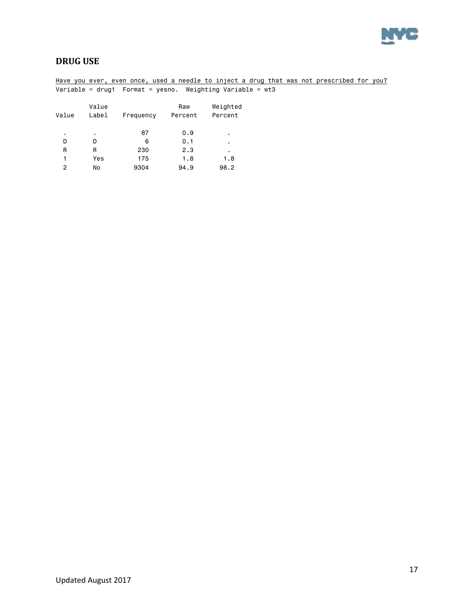

### <span id="page-16-0"></span>**DRUG USE**

Have you ever, even once, used a needle to inject a drug that was not prescribed for you? Variable = drug1 Format = yesno. Weighting Variable = wt3 Value **Raw** Weighted Value Label Frequency Percent Percent . . 87 0.9 . D D 6 0.1 . R R 230 2.3 . 1 Yes 175 1.8 1.8<br>2 No 9304 94.9 98.2 No 9304 94.9 98.2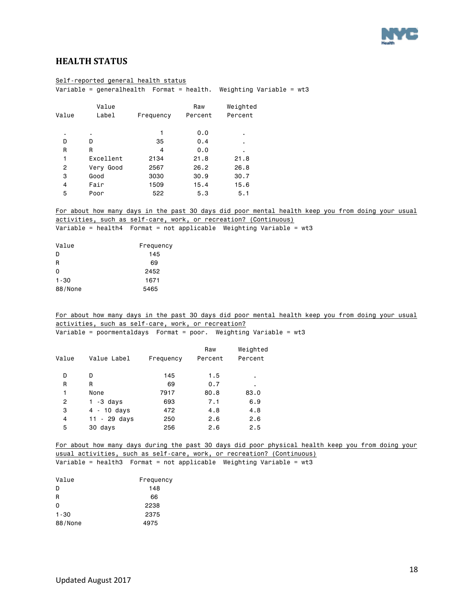

### <span id="page-17-0"></span>**HEALTH STATUS**

|                | Self-reported general health status                 |              |         |                                                                                                   |
|----------------|-----------------------------------------------------|--------------|---------|---------------------------------------------------------------------------------------------------|
|                |                                                     |              |         | Variable = generalhealth  Format = health. Weighting Variable = wt3                               |
|                | Value                                               |              | Raw     | Weighted                                                                                          |
| Value          | Label                                               | Frequency    | Percent | Percent                                                                                           |
|                |                                                     |              |         |                                                                                                   |
|                |                                                     | $\mathbf{1}$ | 0.0     |                                                                                                   |
| D              | D                                                   | 35           | 0.4     | $\blacksquare$                                                                                    |
| $\mathsf{R}$   | R                                                   | 4            | 0.0     |                                                                                                   |
| $\mathbf{1}$   | Excellent                                           | 2134         | 21.8    | 21.8                                                                                              |
| $\mathbf{2}$   | Very Good                                           | 2567         | 26.2    | 26.8                                                                                              |
| 3              | Good                                                | 3030         | 30.9    | 30.7                                                                                              |
| 4              | Fair                                                | 1509         | 15.4    | 15.6                                                                                              |
| 5              | Poor                                                | 522          | 5.3     | 5.1                                                                                               |
|                |                                                     |              |         | For about how many days in the past 30 days did poor mental health keep you from doing your usual |
|                |                                                     |              |         | activities, such as self-care, work, or recreation? (Continuous)                                  |
|                |                                                     |              |         | Variable = health4  Format = not applicable Weighting Variable = wt3                              |
|                |                                                     |              |         |                                                                                                   |
| Value          |                                                     | Frequency    |         |                                                                                                   |
| D              |                                                     | 145          |         |                                                                                                   |
| R              |                                                     | 69           |         |                                                                                                   |
| 0              |                                                     | 2452         |         |                                                                                                   |
| $1 - 30$       |                                                     | 1671         |         |                                                                                                   |
| 88/None        |                                                     | 5465         |         |                                                                                                   |
|                |                                                     |              |         |                                                                                                   |
|                |                                                     |              |         | For about how many days in the past 30 days did poor mental health keep you from doing your usual |
|                | activities, such as self-care, work, or recreation? |              |         |                                                                                                   |
|                |                                                     |              |         | Variable = poormentaldays  Format = poor. Weighting Variable = $wt3$                              |
|                |                                                     |              |         |                                                                                                   |
|                |                                                     |              | Raw     | Weighted                                                                                          |
| Value          | Value Label                                         | Frequency    | Percent | Percent                                                                                           |
| D              | D                                                   | 145          | 1.5     | $\blacksquare$                                                                                    |
| $\mathsf{R}$   | R                                                   | 69           | 0.7     | $\blacksquare$                                                                                    |
| $\mathbf{1}$   | None                                                | 7917         | 80.8    | 83.0                                                                                              |
| $\overline{c}$ | $1 - 3$ days                                        | 693          | 7.1     | 6.9                                                                                               |
| 3              | $4 - 10$ days                                       | 472          | 4.8     | 4.8                                                                                               |
| 4              | $11 - 29$ days                                      | 250          | 2.6     | 2.6                                                                                               |
| 5              | 30 days                                             | 256          | 2.6     | 2.5                                                                                               |
|                |                                                     |              |         |                                                                                                   |
|                |                                                     |              |         | For about how many days during the past 30 days did poor physical health keep you from doing your |
|                |                                                     |              |         | usual activities, such as self-care, work, or recreation? (Continuous)                            |

Variable = health3 Format = not applicable Weighting Variable = wt3

| Value    | Frequency |
|----------|-----------|
| D        | 148       |
| R        | 66        |
| $\Omega$ | 2238      |
| $1 - 30$ | 2375      |
| 88/None  | 4975      |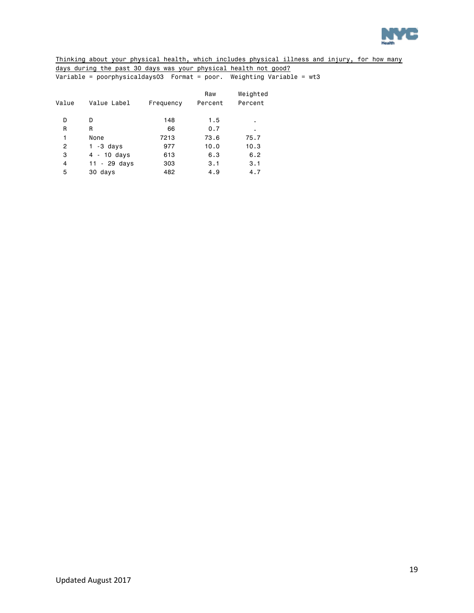

Thinking about your physical health, which includes physical illness and injury, for how many days during the past 30 days was your physical health not good? Variable = poorphysicaldays03 Format = poor. Weighting Variable = wt3

| Value Label    | Frequency | Raw<br>Percent | Weighted<br>Percent |
|----------------|-----------|----------------|---------------------|
| D              | 148       | 1.5            | ٠                   |
| R              | 66        | 0.7            | ٠                   |
| None           | 7213      | 73.6           | 75.7                |
| 1 -3 days      | 977       | 10.0           | 10.3                |
| 4 - 10 days    | 613       | 6.3            | 6.2                 |
| $11 - 29$ days | 303       | 3.1            | 3.1                 |
| 30 days        | 482       | 4.9            | 4.7                 |
|                |           |                |                     |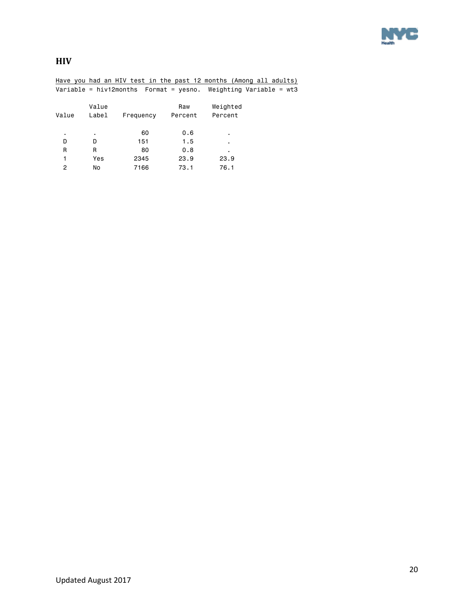

<span id="page-19-0"></span>**HIV**

|       |       | Have you had an HIV test in the past 12 months (Among all adults)    |         |          |  |
|-------|-------|----------------------------------------------------------------------|---------|----------|--|
|       |       | Variable = hiv12months    Format = yesno. Weighting Variable = $wt3$ |         |          |  |
|       | Value |                                                                      | Raw     | Weighted |  |
| Value | Label | Frequency                                                            | Percent | Percent  |  |
| ٠.    | ٠     | 60                                                                   | 0.6     | ٠        |  |
| D     | D     | 151                                                                  | 1.5     | ٠        |  |
| R     | R     | 80                                                                   | 0.8     | ٠        |  |
| 1     | Yes   | 2345                                                                 | 23.9    | 23.9     |  |
| 2     | No    | 7166                                                                 | 73.1    | 76.1     |  |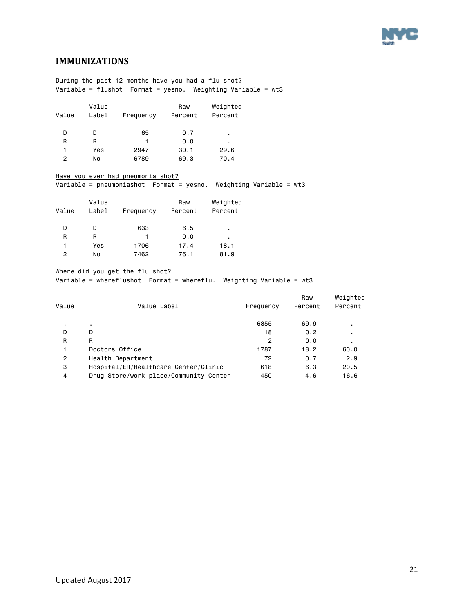

### <span id="page-20-0"></span>**IMMUNIZATIONS**

|                | During the past 12 months have you had a flu shot?            |                                   |      |                                                                       |  |  |
|----------------|---------------------------------------------------------------|-----------------------------------|------|-----------------------------------------------------------------------|--|--|
|                | Variable = flushot Format = yesno. Weighting Variable = $wt3$ |                                   |      |                                                                       |  |  |
|                |                                                               |                                   |      |                                                                       |  |  |
|                | Value                                                         |                                   | Raw  | Weighted                                                              |  |  |
| Value          |                                                               | Label Frequency Percent           |      | Percent                                                               |  |  |
|                |                                                               |                                   |      |                                                                       |  |  |
| D.             | D.                                                            | 65                                | 0.7  |                                                                       |  |  |
| R              | R.                                                            | $\mathbf{1}$                      | 0.0  |                                                                       |  |  |
| 1              | Yes                                                           | 2947                              | 30.1 | 29.6                                                                  |  |  |
| $\overline{c}$ | No                                                            | 6789                              | 69.3 | 70.4                                                                  |  |  |
|                |                                                               |                                   |      |                                                                       |  |  |
|                |                                                               | Have you ever had pneumonia shot? |      |                                                                       |  |  |
|                |                                                               |                                   |      | Variable = pneumoniashot  Format = yesno. Weighting Variable = $wt3$  |  |  |
|                |                                                               |                                   |      |                                                                       |  |  |
|                | Value                                                         |                                   | Raw  | Weighted                                                              |  |  |
| Value          |                                                               | Label Frequency Percent           |      | Percent                                                               |  |  |
|                |                                                               |                                   |      |                                                                       |  |  |
| D              | D                                                             | 633                               | 6.5  |                                                                       |  |  |
| R              | R.                                                            | $\mathbf{1}$                      | 0.0  |                                                                       |  |  |
| 1              | Yes                                                           | 1706                              | 17.4 | 18.1                                                                  |  |  |
| $\overline{2}$ | No                                                            | 7462                              | 76.1 | 81.9                                                                  |  |  |
|                |                                                               |                                   |      |                                                                       |  |  |
|                |                                                               | Where did you get the flu shot?   |      |                                                                       |  |  |
|                |                                                               |                                   |      | Variable = whereflushot Format = whereflu. Weighting Variable = $wt3$ |  |  |
|                |                                                               |                                   |      |                                                                       |  |  |

| Value | Value Label                            | Frequency | Raw<br>Percent | Weighted<br>Percent |
|-------|----------------------------------------|-----------|----------------|---------------------|
|       |                                        | 6855      | 69.9           | ٠                   |
| D     | D                                      | 18        | 0.2            | ٠                   |
| R     | R                                      | 2         | 0.0            | ٠                   |
|       | Doctors Office                         | 1787      | 18.2           | 60.0                |
| 2     | Health Department                      | 72        | 0.7            | 2.9                 |
| 3     | Hospital/ER/Healthcare Center/Clinic   | 618       | 6.3            | 20.5                |
| 4     | Drug Store/work place/Community Center | 450       | 4.6            | 16.6                |
|       |                                        |           |                |                     |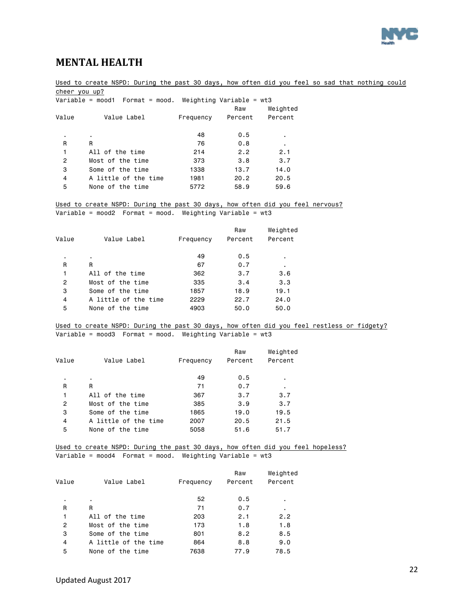

### <span id="page-21-0"></span>**MENTAL HEALTH**

Used to create NSPD: During the past 30 days, how often did you feel so sad that nothing could cheer you up?

|       | Variable = mood1 $\,$ Format = mood. Weighting Variable = wt3 |           |         |          |
|-------|---------------------------------------------------------------|-----------|---------|----------|
|       |                                                               |           | Raw     | Weighted |
| Value | Value Label                                                   | Frequency | Percent | Percent  |
|       |                                                               |           |         |          |
| ٠.    | $\blacksquare$                                                | 48        | 0.5     | ٠        |
| R     | R                                                             | 76        | 0.8     | ٠        |
| 1     | All of the time                                               | 214       | 2.2     | 2.1      |
| 2     | Most of the time                                              | 373       | 3.8     | 3.7      |
| 3     | Some of the time                                              | 1338      | 13.7    | 14.0     |
| 4     | A little of the time                                          | 1981      | 20.2    | 20.5     |
| 5     | None of the time                                              | 5772      | 58.9    | 59.6     |
|       |                                                               |           |         |          |

Used to create NSPD: During the past 30 days, how often did you feel nervous? Variable = mood2 Format = mood. Weighting Variable = wt3

| Value | Value Label          | Frequency | Raw<br>Percent | Weighted<br>Percent |
|-------|----------------------|-----------|----------------|---------------------|
|       | ٠                    | 49        | 0.5            | ٠                   |
| R     | R                    | 67        | 0.7            | $\blacksquare$      |
| 1     | All of the time      | 362       | 3.7            | 3.6                 |
| 2     | Most of the time     | 335       | 3.4            | 3.3                 |
| 3     | Some of the time     | 1857      | 18.9           | 19.1                |
| 4     | A little of the time | 2229      | 22.7           | 24.0                |
| 5     | None of the time     | 4903      | 50.0           | 50.0                |

Used to create NSPD: During the past 30 days, how often did you feel restless or fidgety?  $\overline{\text{Variable}} = \text{mod}3$  Format = mood. Weighting Variable = wt3

| Value | Value Label          | Frequency | Raw<br>Percent | Weighted<br>Percent |
|-------|----------------------|-----------|----------------|---------------------|
| ٠     | $\blacksquare$       | 49        | 0.5            |                     |
| R     | R                    | 71        | 0.7            | ٠                   |
| 1     | All of the time      | 367       | 3.7            | 3.7                 |
| 2     | Most of the time     | 385       | 3.9            | 3.7                 |
| 3     | Some of the time     | 1865      | 19.0           | 19.5                |
| 4     | A little of the time | 2007      | 20.5           | 21.5                |
| 5     | None of the time     | 5058      | 51.6           | 51.7                |

Used to create NSPD: During the past 30 days, how often did you feel hopeless? Variable = mood4 Format = mood. Weighting Variable =  $wt3$ 

|       |                      |           | Raw     | Weighted |
|-------|----------------------|-----------|---------|----------|
| Value | Value Label          | Frequency | Percent | Percent  |
| ٠     | ٠                    | 52        | 0.5     |          |
| R     | R                    | 71        | 0.7     | ٠        |
| 1     | All of the time      | 203       | 2.1     | 2.2      |
| 2     | Most of the time     | 173       | 1.8     | 1.8      |
| 3     | Some of the time     | 801       | 8.2     | 8.5      |
| 4     | A little of the time | 864       | 8.8     | 9.0      |
| 5     | None of the time     | 7638      | 77.9    | 78.5     |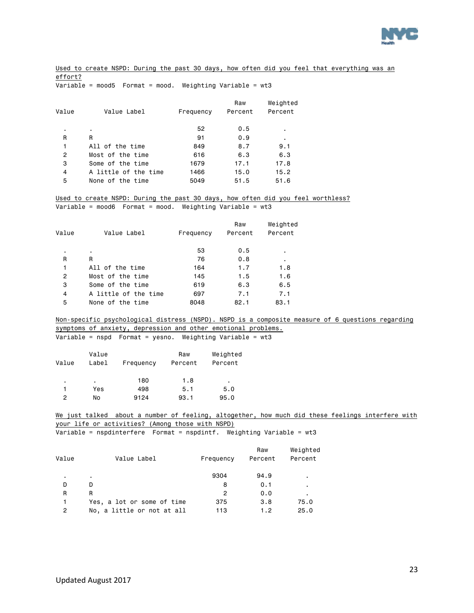

Used to create NSPD: During the past 30 days, how often did you feel that everything was an effort?

Variable = mood5 Format = mood. Weighting Variable = wt3

|                      |           | Raw     | Weighted |
|----------------------|-----------|---------|----------|
| Value Label          | Frequency | Percent | Percent  |
| ٠                    | 52        | 0.5     | ٠        |
| R                    | 91        | 0.9     | ٠        |
| All of the time      | 849       | 8.7     | 9.1      |
| Most of the time     | 616       | 6.3     | 6.3      |
| Some of the time     | 1679      | 17.1    | 17.8     |
| A little of the time | 1466      | 15.0    | 15.2     |
| None of the time     | 5049      | 51.5    | 51.6     |
|                      |           |         |          |

Used to create NSPD: During the past 30 days, how often did you feel worthless? Variable = mood6 Format = mood. Weighting Variable = wt3

| Value | Value Label          | Frequency | Raw<br>Percent | Weighted<br>Percent |
|-------|----------------------|-----------|----------------|---------------------|
| ٠     | ٠                    | 53        | 0.5            | ٠                   |
| R     | R                    | 76        | 0.8            | ٠                   |
| 1     | All of the time      | 164       | 1.7            | 1.8                 |
| 2     | Most of the time     | 145       | 1.5            | 1.6                 |
| 3     | Some of the time     | 619       | 6.3            | 6.5                 |
| 4     | A little of the time | 697       | 7.1            | 7.1                 |
| 5     | None of the time     | 8048      | 82.1           | 83.1                |
|       |                      |           |                |                     |

Non-specific psychological distress (NSPD). NSPD is a composite measure of 6 questions regarding symptoms of anxiety, depression and other emotional problems. Variable = nspd Format = yesno. Weighting Variable = wt3

| Value | Value<br>Label | Frequency | Raw<br>Percent | Weighted<br>Percent |
|-------|----------------|-----------|----------------|---------------------|
| ٠     | ٠              | 180       | 1.8            | ٠                   |
| 1     | Yes            | 498       | 5.1            | 5.0                 |
| 2     | No             | 9124      | 93.1           | 95.0                |

We just talked about a number of feeling, altogether, how much did these feelings interfere with your life or activities? (Among those with NSPD)

Variable = nspdinterfere Format = nspdintf. Weighting Variable = wt3

|       |                            |           | Raw     | Weighted |
|-------|----------------------------|-----------|---------|----------|
| Value | Value Label                | Frequency | Percent | Percent  |
| ٠     |                            | 9304      | 94.9    | ٠        |
| D     | D                          | 8         | 0.1     | ٠        |
| R     | R                          | 2         | 0.0     | ٠        |
| 1     | Yes, a lot or some of time | 375       | 3.8     | 75.0     |
| 2     | No, a little or not at all | 113       | 1.2     | 25.0     |
|       |                            |           |         |          |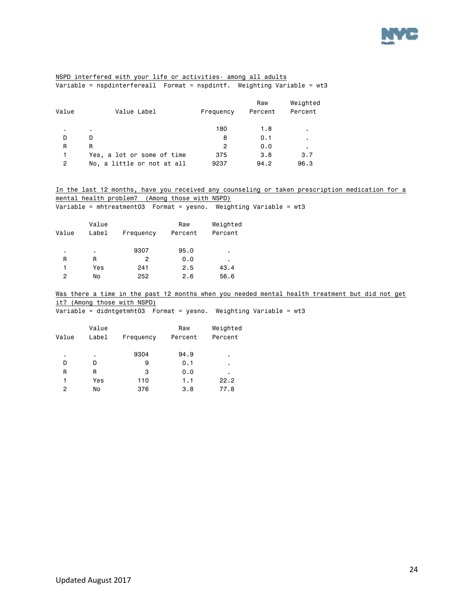

### NSPD interfered with your life or activities- among all adults Variable = nspdinterfereall Format = nspdintf. Weighting Variable = wt3

| Value | Value Label                | Frequency | Raw<br>Percent | Weighted<br>Percent |
|-------|----------------------------|-----------|----------------|---------------------|
| ٠     |                            | 180       | 1.8            | $\blacksquare$      |
| D     | D.                         | 8         | 0.1            | $\blacksquare$      |
| R     | R                          | 2         | 0.0            | $\blacksquare$      |
| 1     | Yes, a lot or some of time | 375       | 3.8            | 3.7                 |
| 2     | No, a little or not at all | 9237      | 94.2           | 96.3                |

### In the last 12 months, have you received any counseling or taken prescription medication for a mental health problem? (Among those with NSPD)

Variable = mhtreatment03 Format = yesno. Weighting Variable = wt3

| Value | Value<br>Label | Frequency | Raw<br>Percent | Weighted<br>Percent |
|-------|----------------|-----------|----------------|---------------------|
| ٠     |                | 9307      | 95.0           | ٠                   |
| R     | R              | 2         | 0.0            | ٠                   |
|       | Yes            | 241       | 2.5            | 43.4                |
| 2     | No             | 252       | 2.6            | 56.6                |
|       |                |           |                |                     |

Was there a time in the past 12 months when you needed mental health treatment but did not get it? (Among those with NSPD)

Variable = didntgetmht03 Format = yesno. Weighting Variable = wt3

| Value | Value<br>Label | Frequency | Raw<br>Percent | Weighted<br>Percent |
|-------|----------------|-----------|----------------|---------------------|
| ٠     | ٠              | 9304      | 94.9           | ٠                   |
| D     | D              | 9         | 0.1            | ٠                   |
| R     | R              | 3         | 0.0            | ٠                   |
| 1     | Yes            | 110       | 1.1            | 22.2                |
| 2     | No             | 376       | 3.8            | 77.8                |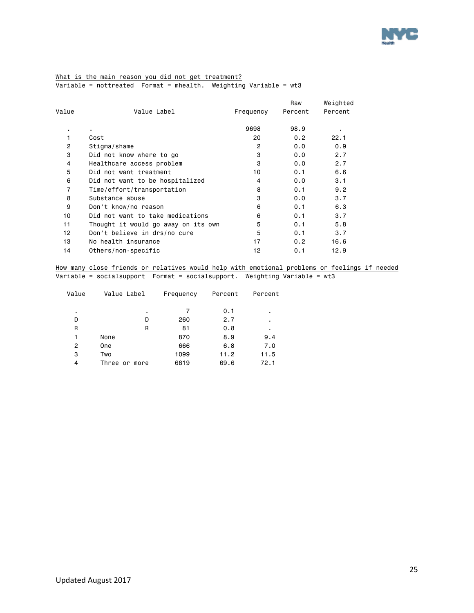

### What is the main reason you did not get treatment? Variable = nottreated Format = mhealth. Weighting Variable = wt3

| Value          | Value Label                         | Frequency      | Raw<br>Percent | Weighted<br>Percent |
|----------------|-------------------------------------|----------------|----------------|---------------------|
|                | ٠                                   | 9698           | 98.9           | ٠                   |
| 1              | Cost                                | 20             | 0.2            | 22.1                |
| 2              | Stigma/shame                        | $\overline{2}$ | 0.0            | 0.9                 |
| 3              | Did not know where to go            | 3              | 0.0            | 2.7                 |
| 4              | Healthcare access problem           | 3              | 0.0            | 2.7                 |
| 5              | Did not want treatment              | 10             | 0.1            | 6.6                 |
| 6              | Did not want to be hospitalized     | 4              | 0.0            | 3.1                 |
| $\overline{7}$ | Time/effort/transportation          | 8              | 0.1            | 9.2                 |
| 8              | Substance abuse                     | 3              | 0.0            | 3.7                 |
| 9              | Don't know/no reason                | 6              | 0.1            | 6.3                 |
| 10             | Did not want to take medications    | 6              | 0.1            | 3.7                 |
| 11             | Thought it would go away on its own | 5              | 0.1            | 5.8                 |
| 12             | Don't believe in drs/no cure        | 5              | 0.1            | 3.7                 |
| 13             | No health insurance                 | 17             | 0.2            | 16.6                |
| 14             | Others/non-specific                 | 12             | 0.1            | 12.9                |

How many close friends or relatives would help with emotional problems or feelings if needed Variable = socialsupport Format = socialsupport. Weighting Variable = wt3

| Value | Value Label      | Frequency | Percent | Percent |
|-------|------------------|-----------|---------|---------|
|       |                  |           |         |         |
| ٠     | ٠                |           | 0.1     | ٠       |
| D     | D                | 260       | 2.7     | ٠       |
| R     | R                | 81        | 0.8     | ٠       |
| 1     | None             | 870       | 8.9     | 9.4     |
| 2     | <b>One</b>       | 666       | 6.8     | 7.0     |
| 3     | Two              | 1099      | 11.2    | 11.5    |
| 4     | Three<br>or more | 6819      | 69.6    | 72.1    |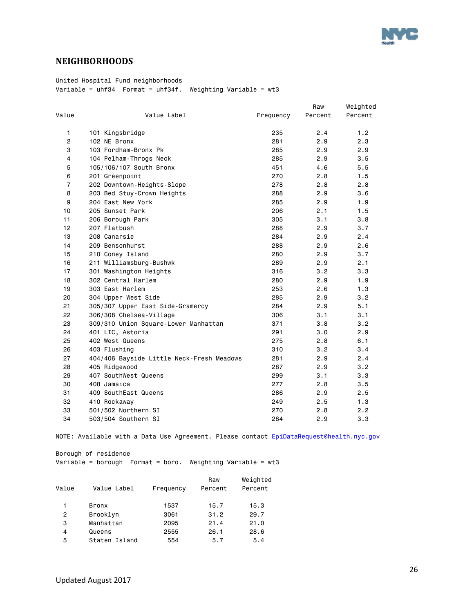

### <span id="page-25-0"></span>**NEIGHBORHOODS**

### United Hospital Fund neighborhoods

 $\overline{\text{Variable}} = \text{uhf34}$  Format =  $\text{uhf34f}$ . Weighting Variable = wt3

|                |                                           |           | Raw     | Weighted |
|----------------|-------------------------------------------|-----------|---------|----------|
| Value          | Value Label                               | Frequency | Percent | Percent  |
| $\mathbf{1}$   | 101 Kingsbridge                           | 235       | 2.4     | 1.2      |
| $\mathbf{2}$   | 102 NE Bronx                              | 281       | 2.9     | 2.3      |
| 3              | 103 Fordham-Bronx Pk                      | 285       | 2.9     | 2.9      |
| 4              | 104 Pelham-Throgs Neck                    | 285       | 2.9     | 3.5      |
| 5              | 105/106/107 South Bronx                   | 451       | 4.6     | 5.5      |
| 6              | 201 Greenpoint                            | 270       | 2.8     | 1.5      |
| $\overline{7}$ | 202 Downtown-Heights-Slope                | 278       | 2.8     | 2.8      |
| 8              | 203 Bed Stuy-Crown Heights                | 288       | 2.9     | 3.6      |
| 9              | 204 East New York                         | 285       | 2.9     | 1.9      |
| 10             | 205 Sunset Park                           | 206       | 2.1     | 1.5      |
| 11             | 206 Borough Park                          | 305       | 3.1     | 3.8      |
| 12             | 207 Flatbush                              | 288       | 2.9     | 3.7      |
| 13             | 208 Canarsie                              | 284       | 2.9     | 2.4      |
| 14             | 209 Bensonhurst                           | 288       | 2.9     | 2.6      |
| 15             | 210 Coney Island                          | 280       | 2.9     | 3.7      |
| 16             | 211 Williamsburg-Bushwk                   | 289       | 2.9     | 2.1      |
| 17             | 301 Washington Heights                    | 316       | 3.2     | 3.3      |
| 18             | 302 Central Harlem                        | 280       | 2.9     | 1.9      |
| 19             | 303 East Harlem                           | 253       | 2.6     | 1.3      |
| 20             | 304 Upper West Side                       | 285       | 2.9     | 3.2      |
| 21             | 305/307 Upper East Side-Gramercy          | 284       | 2.9     | 5.1      |
| 22             | 306/308 Chelsea-Village                   | 306       | 3.1     | 3.1      |
| 23             | 309/310 Union Square-Lower Manhattan      | 371       | 3.8     | 3.2      |
| 24             | 401 LIC, Astoria                          | 291       | 3.0     | 2.9      |
| 25             | 402 West Queens                           | 275       | 2.8     | 6.1      |
| 26             | 403 Flushing                              | 310       | 3.2     | 3.4      |
| 27             | 404/406 Bayside Little Neck-Fresh Meadows | 281       | 2.9     | 2.4      |
| 28             | 405 Ridgewood                             | 287       | 2.9     | 3.2      |
| 29             | 407 SouthWest Queens                      | 299       | 3.1     | 3.3      |
| 30             | 408 Jamaica                               | 277       | 2.8     | 3.5      |
| 31             | 409 SouthEast Queens                      | 286       | 2.9     | 2.5      |
| 32             | 410 Rockaway                              | 249       | 2.5     | 1.3      |
| 33             | 501/502 Northern SI                       | 270       | 2.8     | 2.2      |
| 34             | 503/504 Southern SI                       | 284       | 2.9     | 3.3      |

NOTE: Available with a Data Use Agreement. Please contact [EpiDataRequest@health.nyc.gov](mailto:EpiDataRequest@health.nyc.gov)

Borough of residence

Variable = borough Format = boro. Weighting Variable = wt3

|       |               |           | Raw     | Weighted |
|-------|---------------|-----------|---------|----------|
| Value | Value Label   | Frequency | Percent | Percent  |
|       |               |           |         |          |
|       | Bronx         | 1537      | 15.7    | 15.3     |
| 2     | Brooklyn      | 3061      | 31.2    | 29.7     |
| 3     | Manhattan     | 2095      | 21.4    | 21.0     |
| 4     | Queens        | 2555      | 26.1    | 28.6     |
| 5     | Staten Island | 554       | 5.7     | 5.4      |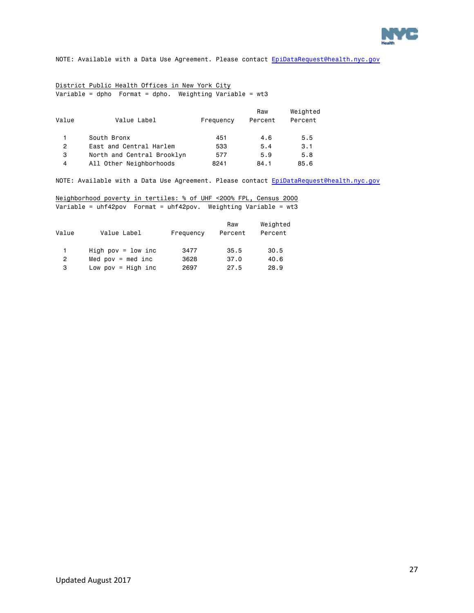

### District Public Health Offices in New York City Variable = dpho Format = dpho. Weighting Variable = wt3

| Value          | Value Label                | Frequency | Raw<br>Percent | Weighted<br>Percent |
|----------------|----------------------------|-----------|----------------|---------------------|
|                | South Bronx                | 451       | 4.6            | 5.5                 |
| $\overline{2}$ | East and Central Harlem    | 533       | 5.4            | 3.1                 |
| 3              | North and Central Brooklyn | 577       | 5.9            | 5.8                 |
| 4              | All Other Neighborhoods    | 8241      | 84.1           | 85.6                |

NOTE: Available with a Data Use Agreement. Please contact [EpiDataRequest@health.nyc.gov](mailto:EpiDataRequest@health.nyc.gov)

### Neighborhood poverty in tertiles: % of UHF <200% FPL, Census 2000 Variable = uhf42pov Format = uhf42pov. Weighting Variable = wt3

| Value          | Value Label          | Frequency | Raw<br>Percent | Weighted<br>Percent |
|----------------|----------------------|-----------|----------------|---------------------|
| 1.             | High pov = $1ow$ inc | 3477      | 35.5           | 30.5                |
| $\overline{2}$ | Med $pow = med inc$  | 3628      | 37.0           | 40.6                |
| 3              | Low pov = $High$ inc | 2697      | 27.5           | 28.9                |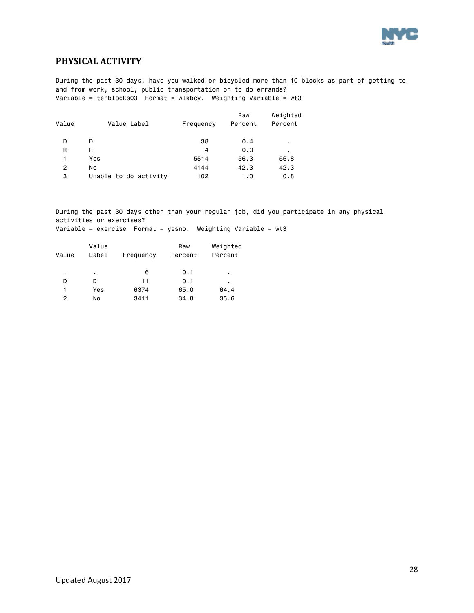

### <span id="page-27-0"></span>**PHYSICAL ACTIVITY**

During the past 30 days, have you walked or bicycled more than 10 blocks as part of getting to and from work, school, public transportation or to do errands? Variable = tenblocks03 Format = wlkbcy. Weighting Variable = wt3

| Value | Value Label           | Frequency | Raw<br>Percent | Weighted<br>Percent |
|-------|-----------------------|-----------|----------------|---------------------|
| D     | D                     | 38        | 0.4            | ٠                   |
| R     | R                     | 4         | 0.0            | $\blacksquare$      |
|       | Yes                   | 5514      | 56.3           | 56.8                |
| 2     | No                    | 4144      | 42.3           | 42.3                |
| 3     | Unable to do activity | 102       | 1.0            | 0.8                 |

During the past 30 days other than your regular job, did you participate in any physical activities or exercises?

Variable = exercise Format = yesno. Weighting Variable = wt3

| Value | Value<br>Label | Frequency | Raw<br>Percent | Weighted<br>Percent |
|-------|----------------|-----------|----------------|---------------------|
| ٠     | ٠              | 6         | 0.1            | ٠                   |
| D     | D              | 11        | 0.1            | ٠                   |
| 1     | Yes            | 6374      | 65.0           | 64.4                |
| 2     | No             | 3411      | 34.8           | 35.6                |
|       |                |           |                |                     |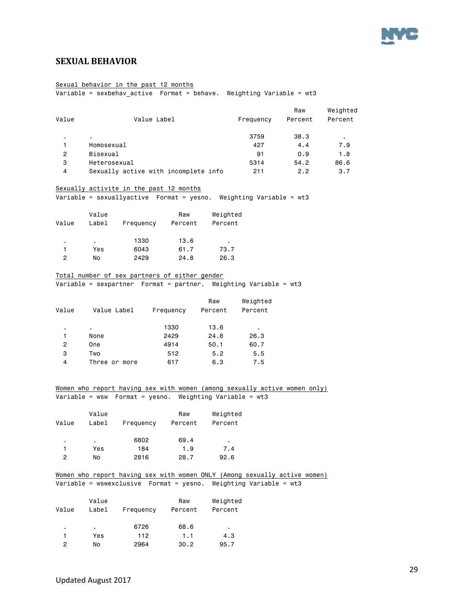

### <span id="page-28-0"></span>**SEXUAL BEHAVIOR**

#### Sexual behavior in the past 12 months

Variable = sexbehav\_active Format = behave. Weighting Variable = wt3

|                |                                      |           | Raw     | Weighted |
|----------------|--------------------------------------|-----------|---------|----------|
| Value          | Value Label                          | Frequency | Percent | Percent  |
| $\blacksquare$ |                                      | 3759      | 38.3    | ٠        |
|                | Homosexual                           | 427       | 4.4     | 7.9      |
| 2              | Bisexual                             | 91        | 0.9     | 1.8      |
| з              | Heterosexual                         | 5314      | 54.2    | 86.6     |
| 4              | Sexually active with incomplete info | 211       | 2.2     | 3.7      |

#### Sexually activite in the past 12 months

Variable = sexuallyactive Format = yesno. Weighting Variable = wt3

| Value | Value<br>Label | Frequency | Raw<br>Percent | Weighted<br>Percent |
|-------|----------------|-----------|----------------|---------------------|
|       |                |           |                |                     |
| ٠     | ٠.             | 1330      | 13.6           | ٠                   |
|       | Yes            | 6043      | 61.7           | 73.7                |
| 2     | No             | 2429      | 24.8           | 26.3                |

#### Total number of sex partners of either gender

Variable = sexpartner Format = partner. Weighting Variable = wt3

| Value | Value Label   | Frequency | Raw<br>Percent | Weighted<br>Percent |
|-------|---------------|-----------|----------------|---------------------|
| ٠     | ٠             | 1330      | 13.6           | ٠                   |
| 1     | None          | 2429      | 24.8           | 26.3                |
| 2     | One           | 4914      | 50.1           | 60.7                |
| 3     | Two           | 512       | 5.2            | 5.5                 |
| 4     | Three or more | 617       | 6.3            | 7.5                 |
|       |               |           |                |                     |

### Women who report having sex with women (among sexually active women only) Variable = wsw Format = yesno. Weighting Variable = wt3

| Value | Value<br>Label | Frequency | Raw<br>Percent | Weighted<br>Percent |
|-------|----------------|-----------|----------------|---------------------|
| ٠     | ٠.             | 6802      | 69.4           | ٠                   |
|       | Yes            | 184       | 1.9            | 7.4                 |
| 2     | No             | 2816      | 28.7           | 92.6                |

#### Women who report having sex with women ONLY (Among sexually active women) Variable = wswexclusive Format = yesno. Weighting Variable = wt3

|       | Value |           | Raw     | Weighted |
|-------|-------|-----------|---------|----------|
| Value | Label | Frequency | Percent | Percent  |
|       |       |           |         |          |
| ٠     | ٠     | 6726      | 68.6    | ٠        |
|       | Yes   | 112       | 1.1     | 4.3      |
| 2     | No    | 2964      | 30.2    | 95.7     |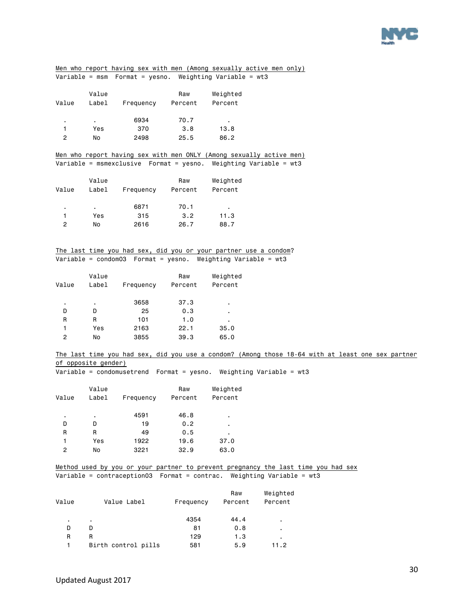

|                |                     |                                                                     |                |                     | Men who report having sex with men (Among sexually active men only)                               |
|----------------|---------------------|---------------------------------------------------------------------|----------------|---------------------|---------------------------------------------------------------------------------------------------|
|                |                     | Variable = $msm$ Format = yesno. Weighting Variable = $wt3$         |                |                     |                                                                                                   |
|                | Value               |                                                                     | Raw            | Weighted            |                                                                                                   |
| Value          | Label               | Frequency                                                           | Percent        | Percent             |                                                                                                   |
|                |                     |                                                                     |                |                     |                                                                                                   |
| $\blacksquare$ | $\sim$              | 6934                                                                | 70.7           | $\blacksquare$      |                                                                                                   |
| 1              | Yes                 | 370                                                                 | 3.8            | 13.8                |                                                                                                   |
| $\overline{c}$ | No                  | 2498                                                                | 25.5           | 86.2                |                                                                                                   |
|                |                     |                                                                     |                |                     |                                                                                                   |
|                |                     |                                                                     |                |                     | Men who report having sex with men ONLY (Among sexually active men)                               |
|                |                     |                                                                     |                |                     | Variable = msmexclusive    Format = yesno. Weighting Variable = wt3                               |
|                | Value               |                                                                     | Raw            | Weighted            |                                                                                                   |
| Value          | Label               | Frequency                                                           | Percent        | Percent             |                                                                                                   |
|                |                     |                                                                     |                |                     |                                                                                                   |
| $\blacksquare$ | $\sim 100$          | 6871                                                                | 70.1           | $\sim$              |                                                                                                   |
| $\mathbf{1}$   | Yes                 | 315                                                                 | 3.2            | 11.3                |                                                                                                   |
| $\overline{2}$ | No                  | 2616                                                                | 26.7           | 88.7                |                                                                                                   |
|                |                     |                                                                     |                |                     |                                                                                                   |
|                |                     |                                                                     |                |                     |                                                                                                   |
|                |                     | The last time you had sex, did you or your partner use a condom?    |                |                     |                                                                                                   |
|                |                     | Variable = $condom03$ Format = $yesno$ . Weighting Variable = $wt3$ |                |                     |                                                                                                   |
|                |                     |                                                                     |                |                     |                                                                                                   |
| Value          | Value<br>Label      | Frequency                                                           | Raw<br>Percent | Weighted<br>Percent |                                                                                                   |
|                |                     |                                                                     |                |                     |                                                                                                   |
| $\blacksquare$ | $\sim$              | 3658                                                                | 37.3           |                     |                                                                                                   |
| D              | D                   | 25                                                                  | 0.3            | ٠                   |                                                                                                   |
| R              | R                   | 101                                                                 | 1.0            | $\blacksquare$      |                                                                                                   |
| 1              | Yes                 | 2163                                                                | 22.1           | 35.0                |                                                                                                   |
| $\overline{c}$ | No                  | 3855                                                                | 39.3           | 65.0                |                                                                                                   |
|                |                     |                                                                     |                |                     |                                                                                                   |
|                |                     |                                                                     |                |                     | The last time you had sex, did you use a condom? (Among those 18-64 with at least one sex partner |
|                | of opposite gender) |                                                                     |                |                     |                                                                                                   |
|                |                     |                                                                     |                |                     | Variable = condomusetrend  Format = yesno. Weighting Variable = $wt3$                             |
|                | Value               |                                                                     | Raw            | Weighted            |                                                                                                   |
| Value          | Label               | Frequency                                                           | Percent        | Percent             |                                                                                                   |
|                |                     |                                                                     |                |                     |                                                                                                   |
|                | $\blacksquare$      | 4591                                                                | 46.8           | $\blacksquare$      |                                                                                                   |
| D              | D                   | 19                                                                  | 0.2            |                     |                                                                                                   |
| R              | R                   | 49                                                                  | $0.5\,$        |                     |                                                                                                   |
| 1              | Yes                 | 1922                                                                | 19.6           | 37.0                |                                                                                                   |
| $\overline{c}$ | No                  | 3221                                                                | 32.9           | 63.0                |                                                                                                   |
|                |                     |                                                                     |                |                     |                                                                                                   |
|                |                     |                                                                     |                |                     | Method used by you or your partner to prevent pregnancy the last time you had sex                 |
|                |                     |                                                                     |                |                     | Variable = contraception03  Format = contrac. Weighting Variable = wt3                            |
|                |                     |                                                                     |                | Raw                 | Weighted                                                                                          |
| Value          |                     | Value Label                                                         | Frequency      | Percent             | Percent                                                                                           |
|                |                     |                                                                     |                |                     |                                                                                                   |

Birth control pills

 $4354$   $44.4$  . D D 81 0.8 . R R<br>1 Birth control pills 581 5.9 11.2

Updated August 2017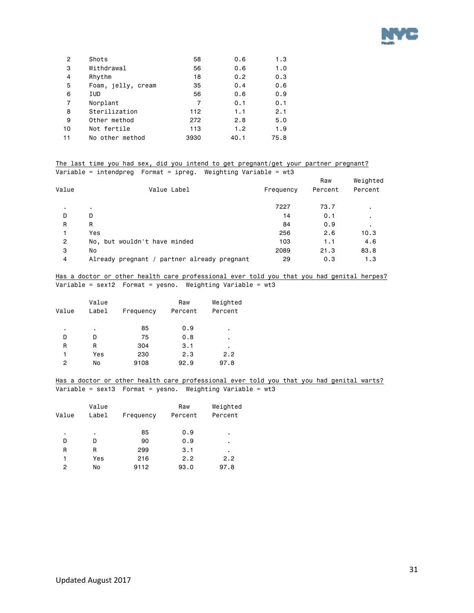

| 2  | Shots              | 58   | 0.6  | 1.3  |
|----|--------------------|------|------|------|
| 3  | Withdrawal         | 56   | 0.6  | 1.0  |
| 4  | Rhythm             | 18   | 0.2  | 0.3  |
| 5  | Foam, jelly, cream | 35   | 0.4  | 0.6  |
| 6  | IUD                | 56   | 0.6  | 0.9  |
| 7  | Norplant           | 7    | 0.1  | 0.1  |
| 8  | Sterilization      | 112  | 1.1  | 2.1  |
| 9  | Other method       | 272  | 2.8  | 5.0  |
| 10 | Not fertile        | 113  | 1.2  | 1.9  |
| 11 | No other method    | 3930 | 40.1 | 75.8 |

### The last time you had sex, did you intend to get pregnant/get your partner pregnant? Variable = intendpreg Format = ipreg. Weighting Variable = wt3

|                |                                             |           | Raw     | Weighted |
|----------------|---------------------------------------------|-----------|---------|----------|
| Value          | Value Label                                 | Frequency | Percent | Percent  |
|                | ٠                                           | 7227      | 73.7    | ٠.       |
| D              | D                                           | 14        | 0.1     | ٠.       |
| R              | R                                           | 84        | 0.9     |          |
|                | Yes                                         | 256       | 2.6     | 10.3     |
| $\overline{2}$ | No, but wouldn't have minded                | 103       | 1.1     | 4.6      |
| 3              | No                                          | 2089      | 21.3    | 83.8     |
| 4              | Already pregnant / partner already pregnant | 29        | 0.3     | 1.3      |

### Has a doctor or other health care professional ever told you that you had genital herpes? Variable = sex12 Format = yesno. Weighting Variable = wt3

|                | Value |           | Raw     | Weighted |
|----------------|-------|-----------|---------|----------|
| Value          | Label | Frequency | Percent | Percent  |
|                |       |           |         |          |
| ٠              | ٠     | 85        | 0.9     | ٠        |
| D              | D     | 75        | 0.8     | ٠        |
| R              | R     | 304       | 3.1     | ٠        |
| 1              | Yes   | 230       | 2.3     | 2.2      |
| $\overline{2}$ | No    | 9108      | 92.9    | 97.8     |

### Has a doctor or other health care professional ever told you that you had genital warts? Variable = sex13 Format = yesno. Weighting Variable = wt3

| Value | Value<br>Label | Frequency | Raw<br>Percent | Weighted<br>Percent |
|-------|----------------|-----------|----------------|---------------------|
| ٠     | ٠              | 85        | 0.9            | ٠                   |
| D     | D              | 90        | 0.9            | ٠                   |
| R     | R              | 299       | 3.1            | ٠                   |
|       | Yes            | 216       | 2.2            | 2.2                 |
| 2     | No             | 9112      | 93.0           | 97.8                |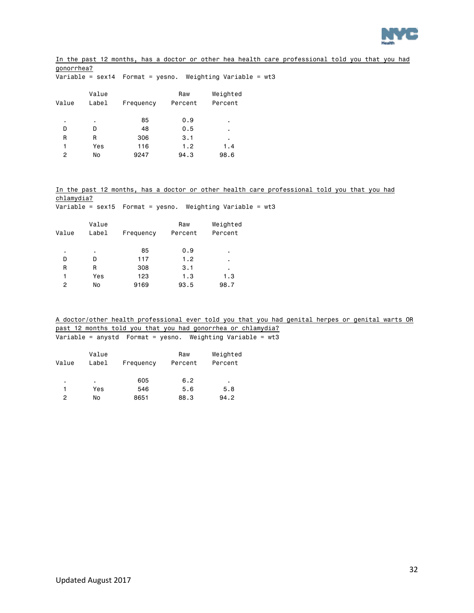

In the past 12 months, has a doctor or other hea health care professional told you that you had gonorrhea?  $\overline{\text{Variable}} = \text{sex14}$  Format = yesno. Weighting Variable = wt3

| Value          | Value<br>Label | Frequency | Raw<br>Percent | Weighted<br>Percent |
|----------------|----------------|-----------|----------------|---------------------|
| ٠              | ٠              | 85        | 0.9            | ٠                   |
| D              | D              | 48        | 0.5            | ٠                   |
| R              | R              | 306       | 3.1            | ٠                   |
| 1              | Yes            | 116       | 1.2            | 1.4                 |
| $\overline{c}$ | No             | 9247      | 94.3           | 98.6                |
|                |                |           |                |                     |

In the past 12 months, has a doctor or other health care professional told you that you had chlamydia?

| Variable = sex15  Format = yesno.  Weighting Variable = wt3 |  |  |  |  |
|-------------------------------------------------------------|--|--|--|--|
|                                                             |  |  |  |  |

| Value | Value<br>Label | Frequency | Raw<br>Percent | Weighted<br>Percent |
|-------|----------------|-----------|----------------|---------------------|
| ٠     | ٠              | 85        | 0.9            | ٠                   |
| D     | D              | 117       | 1.2            | ٠                   |
| R     | R              | 308       | 3.1            | ٠                   |
| 1     | Yes            | 123       | 1.3            | 1.3                 |
| 2     | No             | 9169      | 93.5           | 98.7                |

A doctor/other health professional ever told you that you had genital herpes or genital warts OR past 12 months told you that you had gonorrhea or chlamydia? Variable = anystd Format = yesno. Weighting Variable = wt3

| Value | Value<br>Label | Frequency | Raw<br>Percent | Weighted<br>Percent |
|-------|----------------|-----------|----------------|---------------------|
| ٠     | ٠              | 605       | 6.2            | ٠                   |
|       | Yes            | 546       | 5.6            | 5.8                 |
| 2     | No             | 8651      | 88.3           | 94.2                |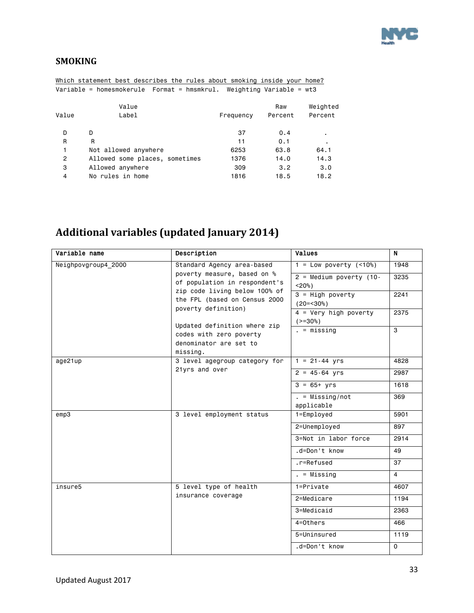

### <span id="page-32-0"></span>**SMOKING**

|                | Which statement best describes the rules about smoking inside your home? |           |         |          |
|----------------|--------------------------------------------------------------------------|-----------|---------|----------|
|                | Variable = homesmokerule  Format = hmsmkrul. Weighting Variable = wt3    |           |         |          |
|                | Value                                                                    |           | Raw     | Weighted |
| Value          | Label                                                                    | Frequency | Percent | Percent  |
| D              | D                                                                        | 37        | 0.4     | ٠        |
| R              | R                                                                        | 11        | 0.1     | ٠        |
| 1              | Not allowed anywhere                                                     | 6253      | 63.8    | 64.1     |
| $\overline{2}$ | Allowed some places, sometimes                                           | 1376      | 14.0    | 14.3     |
| 3              | Allowed anywhere                                                         | 309       | 3.2     | 3.0      |
| 4              | No rules in home                                                         | 1816      | 18.5    | 18.2     |

## <span id="page-32-1"></span>**Additional variables (updated January 2014)**

| Variable name       | Description                                                    | <b>Values</b>                | N.       |
|---------------------|----------------------------------------------------------------|------------------------------|----------|
| Neighpovgroup4 2000 | Standard Agency area-based                                     | $1 = Low powerty (-10%)$     | 1948     |
|                     | poverty measure, based on %                                    | $2$ = Medium poverty (10-    | 3235     |
|                     | of population in respondent's                                  | $< 20\%$ )                   |          |
|                     | zip code living below 100% of<br>the FPL (based on Census 2000 | $3 = High powerty$           | 2241     |
|                     | poverty definition)                                            | $(20=<30)$                   |          |
|                     |                                                                | $4 = \text{Very high power}$ | 2375     |
|                     | Updated definition where zip                                   | $(>=30\%)$                   |          |
|                     | codes with zero poverty                                        | $=$ missing                  | 3        |
|                     | denominator are set to                                         |                              |          |
|                     | missing.                                                       |                              |          |
| age21up             | 3 level agegroup category for                                  | $1 = 21 - 44$ yrs            | 4828     |
|                     | 21yrs and over                                                 | $2 = 45 - 64$ yrs            | 2987     |
|                     |                                                                | $3 = 65 + yrs$               | 1618     |
|                     |                                                                | $. =$ Missing/not            | 369      |
|                     |                                                                | applicable                   |          |
| emp3                | 3 level employment status                                      | $1 = Emploved$               | 5901     |
|                     |                                                                | 2=Unemployed                 | 897      |
|                     |                                                                | 3=Not in labor force         | 2914     |
|                     |                                                                | .d=Don't know                | 49       |
|                     |                                                                | .r=Refused                   | 37       |
|                     |                                                                | $. = Missing$                | 4        |
| insure5             | 5 level type of health                                         | 1=Private                    | 4607     |
|                     | insurance coverage                                             | 2=Medicare                   | 1194     |
|                     |                                                                | 3=Medicaid                   | 2363     |
|                     |                                                                | 4=Others                     | 466      |
|                     |                                                                | 5=Uninsured                  | 1119     |
|                     |                                                                | .d=Don't know                | $\Omega$ |